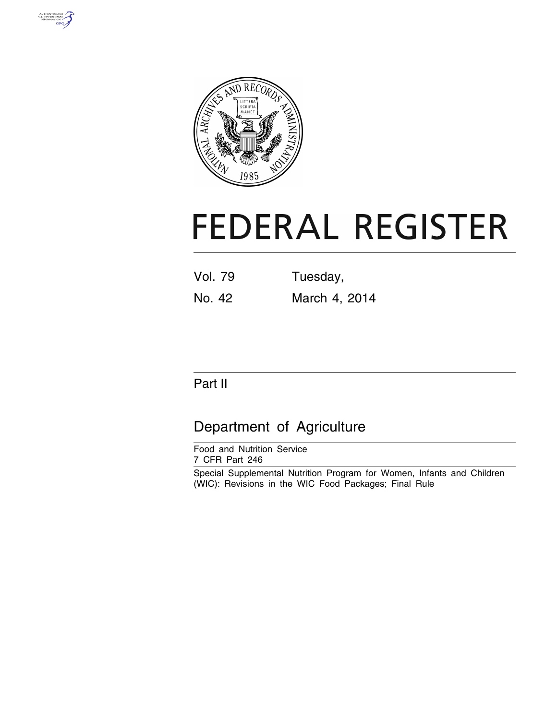



# **FEDERAL REGISTER**

| <b>Vol. 79</b> | Tuesday,      |
|----------------|---------------|
| No. 42         | March 4, 2014 |

## Part II

## Department of Agriculture

Food and Nutrition Service 7 CFR Part 246

Special Supplemental Nutrition Program for Women, Infants and Children (WIC): Revisions in the WIC Food Packages; Final Rule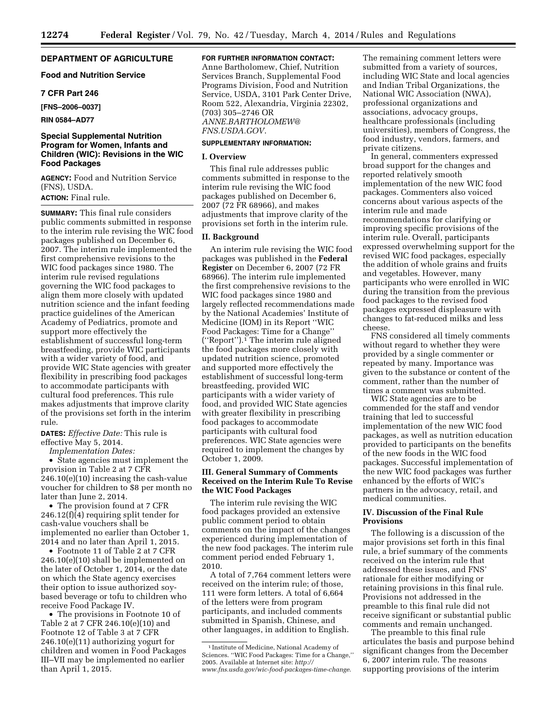#### **DEPARTMENT OF AGRICULTURE**

#### **Food and Nutrition Service**

#### **7 CFR Part 246**

**[FNS–2006–0037]** 

**RIN 0584–AD77** 

#### **Special Supplemental Nutrition Program for Women, Infants and Children (WIC): Revisions in the WIC Food Packages**

**AGENCY:** Food and Nutrition Service (FNS), USDA.

#### **ACTION:** Final rule.

**SUMMARY:** This final rule considers public comments submitted in response to the interim rule revising the WIC food packages published on December 6, 2007. The interim rule implemented the first comprehensive revisions to the WIC food packages since 1980. The interim rule revised regulations governing the WIC food packages to align them more closely with updated nutrition science and the infant feeding practice guidelines of the American Academy of Pediatrics, promote and support more effectively the establishment of successful long-term breastfeeding, provide WIC participants with a wider variety of food, and provide WIC State agencies with greater flexibility in prescribing food packages to accommodate participants with cultural food preferences. This rule makes adjustments that improve clarity of the provisions set forth in the interim rule.

**DATES:** *Effective Date:* This rule is effective May 5, 2014.

*Implementation Dates:* 

• State agencies must implement the provision in Table 2 at 7 CFR 246.10(e)(10) increasing the cash-value voucher for children to \$8 per month no later than June 2, 2014.

• The provision found at 7 CFR 246.12(f)(4) requiring split tender for cash-value vouchers shall be implemented no earlier than October 1, 2014 and no later than April 1, 2015.

• Footnote 11 of Table 2 at 7 CFR 246.10(e)(10) shall be implemented on the later of October 1, 2014, or the date on which the State agency exercises their option to issue authorized soybased beverage or tofu to children who receive Food Package IV.

• The provisions in Footnote 10 of Table 2 at 7 CFR 246.10(e)(10) and Footnote 12 of Table 3 at 7 CFR 246.10(e)(11) authorizing yogurt for children and women in Food Packages III–VII may be implemented no earlier than April 1, 2015.

**FOR FURTHER INFORMATION CONTACT:** 

Anne Bartholomew, Chief, Nutrition Services Branch, Supplemental Food Programs Division, Food and Nutrition Service, USDA, 3101 Park Center Drive, Room 522, Alexandria, Virginia 22302, (703) 305–2746 OR *[ANNE.BARTHOLOMEW@](mailto:ANNE.BARTHOLOMEW@FNS.USDA.GOV) [FNS.USDA.GOV](mailto:ANNE.BARTHOLOMEW@FNS.USDA.GOV)*.

#### **SUPPLEMENTARY INFORMATION:**

#### **I. Overview**

This final rule addresses public comments submitted in response to the interim rule revising the WIC food packages published on December 6, 2007 (72 FR 68966), and makes adjustments that improve clarity of the provisions set forth in the interim rule.

#### **II. Background**

An interim rule revising the WIC food packages was published in the **Federal Register** on December 6, 2007 (72 FR 68966). The interim rule implemented the first comprehensive revisions to the WIC food packages since 1980 and largely reflected recommendations made by the National Academies' Institute of Medicine (IOM) in its Report ''WIC Food Packages: Time for a Change'' (''Report'').1 The interim rule aligned the food packages more closely with updated nutrition science, promoted and supported more effectively the establishment of successful long-term breastfeeding, provided WIC participants with a wider variety of food, and provided WIC State agencies with greater flexibility in prescribing food packages to accommodate participants with cultural food preferences. WIC State agencies were required to implement the changes by October 1, 2009.

#### **III. General Summary of Comments Received on the Interim Rule To Revise the WIC Food Packages**

The interim rule revising the WIC food packages provided an extensive public comment period to obtain comments on the impact of the changes experienced during implementation of the new food packages. The interim rule comment period ended February 1, 2010.

A total of 7,764 comment letters were received on the interim rule; of those, 111 were form letters. A total of 6,664 of the letters were from program participants, and included comments submitted in Spanish, Chinese, and other languages, in addition to English.

The remaining comment letters were submitted from a variety of sources, including WIC State and local agencies and Indian Tribal Organizations, the National WIC Association (NWA), professional organizations and associations, advocacy groups, healthcare professionals (including universities), members of Congress, the food industry, vendors, farmers, and private citizens.

In general, commenters expressed broad support for the changes and reported relatively smooth implementation of the new WIC food packages. Commenters also voiced concerns about various aspects of the interim rule and made recommendations for clarifying or improving specific provisions of the interim rule. Overall, participants expressed overwhelming support for the revised WIC food packages, especially the addition of whole grains and fruits and vegetables. However, many participants who were enrolled in WIC during the transition from the previous food packages to the revised food packages expressed displeasure with changes to fat-reduced milks and less cheese.

FNS considered all timely comments without regard to whether they were provided by a single commenter or repeated by many. Importance was given to the substance or content of the comment, rather than the number of times a comment was submitted.

WIC State agencies are to be commended for the staff and vendor training that led to successful implementation of the new WIC food packages, as well as nutrition education provided to participants on the benefits of the new foods in the WIC food packages. Successful implementation of the new WIC food packages was further enhanced by the efforts of WIC's partners in the advocacy, retail, and medical communities.

#### **IV. Discussion of the Final Rule Provisions**

The following is a discussion of the major provisions set forth in this final rule, a brief summary of the comments received on the interim rule that addressed these issues, and FNS' rationale for either modifying or retaining provisions in this final rule. Provisions not addressed in the preamble to this final rule did not receive significant or substantial public comments and remain unchanged.

The preamble to this final rule articulates the basis and purpose behind significant changes from the December 6, 2007 interim rule. The reasons supporting provisions of the interim

<sup>1</sup> Institute of Medicine, National Academy of Sciences. ''WIC Food Packages: Time for a Change,'' 2005. Available at Internet site: *[http://](http://www.fns.usda.gov/wic-food-packages-time-change) [www.fns.usda.gov/wic-food-packages-time-change](http://www.fns.usda.gov/wic-food-packages-time-change)*.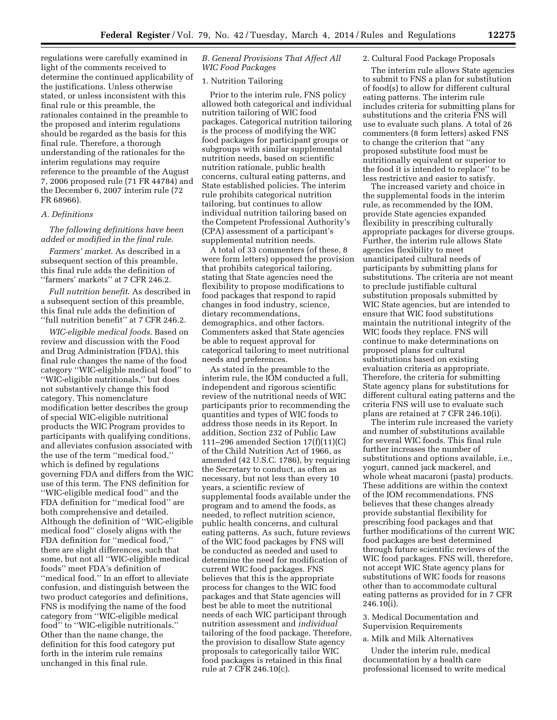regulations were carefully examined in light of the comments received to determine the continued applicability of the justifications. Unless otherwise stated, or unless inconsistent with this final rule or this preamble, the rationales contained in the preamble to the proposed and interim regulations should be regarded as the basis for this final rule. Therefore, a thorough understanding of the rationales for the interim regulations may require reference to the preamble of the August 7, 2006 proposed rule (71 FR 44784) and the December 6, 2007 interim rule (72 FR 68966).

#### *A. Definitions*

*The following definitions have been added or modified in the final rule*.

*Farmers' market.* As described in a subsequent section of this preamble, this final rule adds the definition of ''farmers' markets'' at 7 CFR 246.2.

*Full nutrition benefit*. As described in a subsequent section of this preamble, this final rule adds the definition of ''full nutrition benefit'' at 7 CFR 246.2.

*WIC-eligible medical foods*. Based on review and discussion with the Food and Drug Administration (FDA), this final rule changes the name of the food category ''WIC-eligible medical food'' to ''WIC-eligible nutritionals,'' but does not substantively change this food category. This nomenclature modification better describes the group of special WIC-eligible nutritional products the WIC Program provides to participants with qualifying conditions, and alleviates confusion associated with the use of the term ''medical food,'' which is defined by regulations governing FDA and differs from the WIC use of this term. The FNS definition for ''WIC-eligible medical food'' and the FDA definition for ''medical food'' are both comprehensive and detailed. Although the definition of ''WIC-eligible medical food'' closely aligns with the FDA definition for ''medical food,'' there are slight differences, such that some, but not all ''WIC-eligible medical foods'' meet FDA's definition of ''medical food.'' In an effort to alleviate confusion, and distinguish between the two product categories and definitions, FNS is modifying the name of the food category from ''WIC-eligible medical food'' to ''WIC-eligible nutritionals.'' Other than the name change, the definition for this food category put forth in the interim rule remains unchanged in this final rule.

#### *B. General Provisions That Affect All WIC Food Packages*

#### 1. Nutrition Tailoring

Prior to the interim rule, FNS policy allowed both categorical and individual nutrition tailoring of WIC food packages. Categorical nutrition tailoring is the process of modifying the WIC food packages for participant groups or subgroups with similar supplemental nutrition needs, based on scientific nutrition rationale, public health concerns, cultural eating patterns, and State established policies. The interim rule prohibits categorical nutrition tailoring, but continues to allow individual nutrition tailoring based on the Competent Professional Authority's (CPA) assessment of a participant's supplemental nutrition needs.

A total of 33 commenters (of these, 8 were form letters) opposed the provision that prohibits categorical tailoring, stating that State agencies need the flexibility to propose modifications to food packages that respond to rapid changes in food industry, science, dietary recommendations, demographics, and other factors. Commenters asked that State agencies be able to request approval for categorical tailoring to meet nutritional needs and preferences.

As stated in the preamble to the interim rule, the IOM conducted a full, independent and rigorous scientific review of the nutritional needs of WIC participants prior to recommending the quantities and types of WIC foods to address those needs in its Report. In addition, Section 232 of Public Law 111–296 amended Section 17(f)(11)(C) of the Child Nutrition Act of 1966, as amended (42 U.S.C. 1786), by requiring the Secretary to conduct, as often as necessary, but not less than every 10 years, a scientific review of supplemental foods available under the program and to amend the foods, as needed, to reflect nutrition science, public health concerns, and cultural eating patterns. As such, future reviews of the WIC food packages by FNS will be conducted as needed and used to determine the need for modification of current WIC food packages. FNS believes that this is the appropriate process for changes to the WIC food packages and that State agencies will best be able to meet the nutritional needs of each WIC participant through nutrition assessment and *individual*  tailoring of the food package. Therefore, the provision to disallow State agency proposals to categorically tailor WIC food packages is retained in this final rule at 7 CFR 246.10(c).

#### 2. Cultural Food Package Proposals

The interim rule allows State agencies to submit to FNS a plan for substitution of food(s) to allow for different cultural eating patterns. The interim rule includes criteria for submitting plans for substitutions and the criteria FNS will use to evaluate such plans. A total of 26 commenters (8 form letters) asked FNS to change the criterion that ''any proposed substitute food must be nutritionally equivalent or superior to the food it is intended to replace'' to be less restrictive and easier to satisfy.

The increased variety and choice in the supplemental foods in the interim rule, as recommended by the IOM, provide State agencies expanded flexibility in prescribing culturally appropriate packages for diverse groups. Further, the interim rule allows State agencies flexibility to meet unanticipated cultural needs of participants by submitting plans for substitutions. The criteria are not meant to preclude justifiable cultural substitution proposals submitted by WIC State agencies, but are intended to ensure that WIC food substitutions maintain the nutritional integrity of the WIC foods they replace. FNS will continue to make determinations on proposed plans for cultural substitutions based on existing evaluation criteria as appropriate. Therefore, the criteria for submitting State agency plans for substitutions for different cultural eating patterns and the criteria FNS will use to evaluate such plans are retained at 7 CFR 246.10(i).

The interim rule increased the variety and number of substitutions available for several WIC foods. This final rule further increases the number of substitutions and options available, i.e., yogurt, canned jack mackerel, and whole wheat macaroni (pasta) products. These additions are within the context of the IOM recommendations. FNS believes that these changes already provide substantial flexibility for prescribing food packages and that further modifications of the current WIC food packages are best determined through future scientific reviews of the WIC food packages. FNS will, therefore, not accept WIC State agency plans for substitutions of WIC foods for reasons other than to accommodate cultural eating patterns as provided for in 7 CFR 246.10(i).

3. Medical Documentation and Supervision Requirements

a. Milk and Milk Alternatives

Under the interim rule, medical documentation by a health care professional licensed to write medical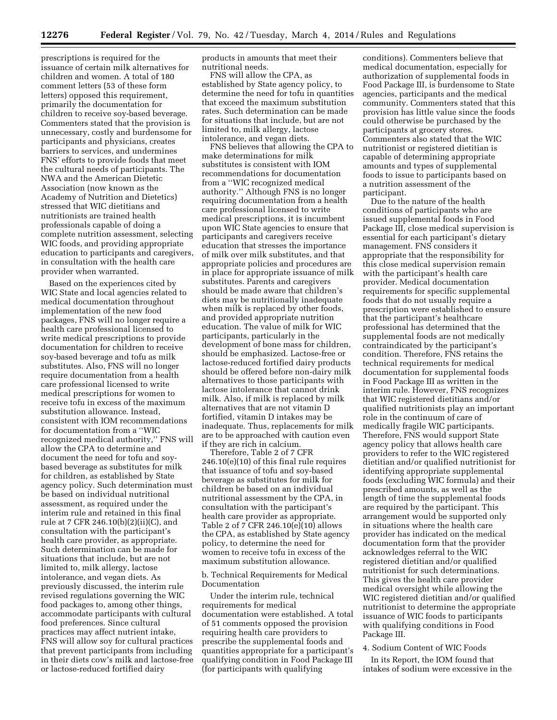prescriptions is required for the issuance of certain milk alternatives for children and women. A total of 180 comment letters (53 of these form letters) opposed this requirement, primarily the documentation for children to receive soy-based beverage. Commenters stated that the provision is unnecessary, costly and burdensome for participants and physicians, creates barriers to services, and undermines FNS' efforts to provide foods that meet the cultural needs of participants. The NWA and the American Dietetic Association (now known as the Academy of Nutrition and Dietetics) stressed that WIC dietitians and nutritionists are trained health professionals capable of doing a complete nutrition assessment, selecting WIC foods, and providing appropriate education to participants and caregivers, in consultation with the health care provider when warranted.

Based on the experiences cited by WIC State and local agencies related to medical documentation throughout implementation of the new food packages, FNS will no longer require a health care professional licensed to write medical prescriptions to provide documentation for children to receive soy-based beverage and tofu as milk substitutes. Also, FNS will no longer require documentation from a health care professional licensed to write medical prescriptions for women to receive tofu in excess of the maximum substitution allowance. Instead, consistent with IOM recommendations for documentation from a ''WIC recognized medical authority,'' FNS will allow the CPA to determine and document the need for tofu and soybased beverage as substitutes for milk for children, as established by State agency policy. Such determination must be based on individual nutritional assessment, as required under the interim rule and retained in this final rule at 7 CFR 246.10(b)(2)(ii)(C), and consultation with the participant's health care provider, as appropriate. Such determination can be made for situations that include, but are not limited to, milk allergy, lactose intolerance, and vegan diets. As previously discussed, the interim rule revised regulations governing the WIC food packages to, among other things, accommodate participants with cultural food preferences. Since cultural practices may affect nutrient intake, FNS will allow soy for cultural practices that prevent participants from including in their diets cow's milk and lactose-free or lactose-reduced fortified dairy

products in amounts that meet their nutritional needs.

FNS will allow the CPA, as established by State agency policy, to determine the need for tofu in quantities that exceed the maximum substitution rates. Such determination can be made for situations that include, but are not limited to, milk allergy, lactose intolerance, and vegan diets.

FNS believes that allowing the CPA to make determinations for milk substitutes is consistent with IOM recommendations for documentation from a ''WIC recognized medical authority.'' Although FNS is no longer requiring documentation from a health care professional licensed to write medical prescriptions, it is incumbent upon WIC State agencies to ensure that participants and caregivers receive education that stresses the importance of milk over milk substitutes, and that appropriate policies and procedures are in place for appropriate issuance of milk substitutes. Parents and caregivers should be made aware that children's diets may be nutritionally inadequate when milk is replaced by other foods, and provided appropriate nutrition education. The value of milk for WIC participants, particularly in the development of bone mass for children, should be emphasized. Lactose-free or lactose-reduced fortified dairy products should be offered before non-dairy milk alternatives to those participants with lactose intolerance that cannot drink milk. Also, if milk is replaced by milk alternatives that are not vitamin D fortified, vitamin D intakes may be inadequate. Thus, replacements for milk are to be approached with caution even if they are rich in calcium.

Therefore, Table 2 of 7 CFR 246.10(e)(10) of this final rule requires that issuance of tofu and soy-based beverage as substitutes for milk for children be based on an individual nutritional assessment by the CPA, in consultation with the participant's health care provider as appropriate. Table 2 of 7 CFR 246.10(e)(10) allows the CPA, as established by State agency policy, to determine the need for women to receive tofu in excess of the maximum substitution allowance.

#### b. Technical Requirements for Medical Documentation

Under the interim rule, technical requirements for medical documentation were established. A total of 51 comments opposed the provision requiring health care providers to prescribe the supplemental foods and quantities appropriate for a participant's qualifying condition in Food Package III (for participants with qualifying

conditions). Commenters believe that medical documentation, especially for authorization of supplemental foods in Food Package III, is burdensome to State agencies, participants and the medical community. Commenters stated that this provision has little value since the foods could otherwise be purchased by the participants at grocery stores. Commenters also stated that the WIC nutritionist or registered dietitian is capable of determining appropriate amounts and types of supplemental foods to issue to participants based on a nutrition assessment of the participant.

Due to the nature of the health conditions of participants who are issued supplemental foods in Food Package III, close medical supervision is essential for each participant's dietary management. FNS considers it appropriate that the responsibility for this close medical supervision remain with the participant's health care provider. Medical documentation requirements for specific supplemental foods that do not usually require a prescription were established to ensure that the participant's healthcare professional has determined that the supplemental foods are not medically contraindicated by the participant's condition. Therefore, FNS retains the technical requirements for medical documentation for supplemental foods in Food Package III as written in the interim rule. However, FNS recognizes that WIC registered dietitians and/or qualified nutritionists play an important role in the continuum of care of medically fragile WIC participants. Therefore, FNS would support State agency policy that allows health care providers to refer to the WIC registered dietitian and/or qualified nutritionist for identifying appropriate supplemental foods (excluding WIC formula) and their prescribed amounts, as well as the length of time the supplemental foods are required by the participant. This arrangement would be supported only in situations where the health care provider has indicated on the medical documentation form that the provider acknowledges referral to the WIC registered dietitian and/or qualified nutritionist for such determinations. This gives the health care provider medical oversight while allowing the WIC registered dietitian and/or qualified nutritionist to determine the appropriate issuance of WIC foods to participants with qualifying conditions in Food Package III.

#### 4. Sodium Content of WIC Foods

In its Report, the IOM found that intakes of sodium were excessive in the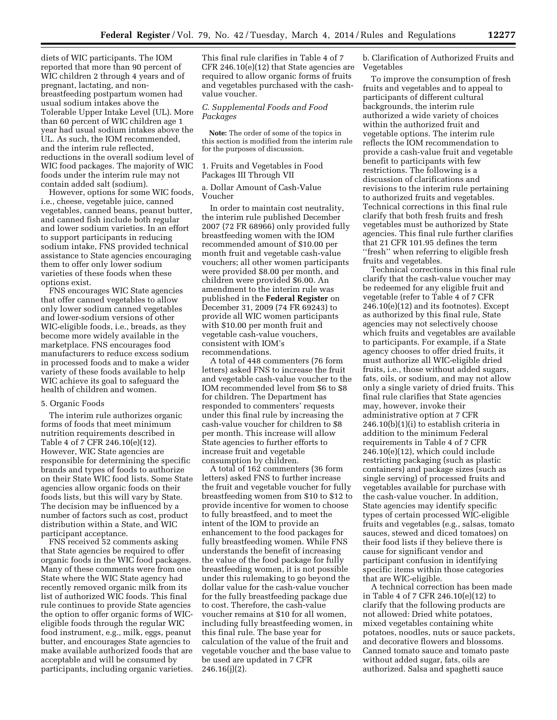diets of WIC participants. The IOM reported that more than 90 percent of WIC children 2 through 4 years and of pregnant, lactating, and nonbreastfeeding postpartum women had usual sodium intakes above the Tolerable Upper Intake Level (UL). More than 60 percent of WIC children age 1 year had usual sodium intakes above the UL. As such, the IOM recommended, and the interim rule reflected, reductions in the overall sodium level of WIC food packages. The majority of WIC foods under the interim rule may not contain added salt (sodium).

However, options for some WIC foods, i.e., cheese, vegetable juice, canned vegetables, canned beans, peanut butter, and canned fish include both regular and lower sodium varieties. In an effort to support participants in reducing sodium intake, FNS provided technical assistance to State agencies encouraging them to offer only lower sodium varieties of these foods when these options exist.

FNS encourages WIC State agencies that offer canned vegetables to allow only lower sodium canned vegetables and lower-sodium versions of other WIC-eligible foods, i.e., breads, as they become more widely available in the marketplace. FNS encourages food manufacturers to reduce excess sodium in processed foods and to make a wider variety of these foods available to help WIC achieve its goal to safeguard the health of children and women.

#### 5. Organic Foods

The interim rule authorizes organic forms of foods that meet minimum nutrition requirements described in Table 4 of 7 CFR 246.10(e)(12). However, WIC State agencies are responsible for determining the specific brands and types of foods to authorize on their State WIC food lists. Some State agencies allow organic foods on their foods lists, but this will vary by State. The decision may be influenced by a number of factors such as cost, product distribution within a State, and WIC participant acceptance.

FNS received 52 comments asking that State agencies be required to offer organic foods in the WIC food packages. Many of these comments were from one State where the WIC State agency had recently removed organic milk from its list of authorized WIC foods. This final rule continues to provide State agencies the option to offer organic forms of WICeligible foods through the regular WIC food instrument, e.g., milk, eggs, peanut butter, and encourages State agencies to make available authorized foods that are acceptable and will be consumed by participants, including organic varieties. This final rule clarifies in Table 4 of 7 CFR 246.10(e)(12) that State agencies are required to allow organic forms of fruits and vegetables purchased with the cashvalue voucher.

#### *C. Supplemental Foods and Food Packages*

**Note:** The order of some of the topics in this section is modified from the interim rule for the purposes of discussion.

#### 1. Fruits and Vegetables in Food Packages III Through VII

a. Dollar Amount of Cash-Value Voucher

In order to maintain cost neutrality, the interim rule published December 2007 (72 FR 68966) only provided fully breastfeeding women with the IOM recommended amount of \$10.00 per month fruit and vegetable cash-value vouchers; all other women participants were provided \$8.00 per month, and children were provided \$6.00. An amendment to the interim rule was published in the **Federal Register** on December 31, 2009 (74 FR 69243) to provide all WIC women participants with \$10.00 per month fruit and vegetable cash-value vouchers, consistent with IOM's recommendations.

A total of 448 commenters (76 form letters) asked FNS to increase the fruit and vegetable cash-value voucher to the IOM recommended level from \$6 to \$8 for children. The Department has responded to commenters' requests under this final rule by increasing the cash-value voucher for children to \$8 per month. This increase will allow State agencies to further efforts to increase fruit and vegetable consumption by children.

A total of 162 commenters (36 form letters) asked FNS to further increase the fruit and vegetable voucher for fully breastfeeding women from \$10 to \$12 to provide incentive for women to choose to fully breastfeed, and to meet the intent of the IOM to provide an enhancement to the food packages for fully breastfeeding women. While FNS understands the benefit of increasing the value of the food package for fully breastfeeding women, it is not possible under this rulemaking to go beyond the dollar value for the cash-value voucher for the fully breastfeeding package due to cost. Therefore, the cash-value voucher remains at \$10 for all women, including fully breastfeeding women, in this final rule. The base year for calculation of the value of the fruit and vegetable voucher and the base value to be used are updated in 7 CFR 246.16(j)(2).

b. Clarification of Authorized Fruits and Vegetables

To improve the consumption of fresh fruits and vegetables and to appeal to participants of different cultural backgrounds, the interim rule authorized a wide variety of choices within the authorized fruit and vegetable options. The interim rule reflects the IOM recommendation to provide a cash-value fruit and vegetable benefit to participants with few restrictions. The following is a discussion of clarifications and revisions to the interim rule pertaining to authorized fruits and vegetables. Technical corrections in this final rule clarify that both fresh fruits and fresh vegetables must be authorized by State agencies. This final rule further clarifies that 21 CFR 101.95 defines the term ''fresh'' when referring to eligible fresh fruits and vegetables.

Technical corrections in this final rule clarify that the cash-value voucher may be redeemed for any eligible fruit and vegetable (refer to Table 4 of 7 CFR 246.10(e)(12) and its footnotes). Except as authorized by this final rule, State agencies may not selectively choose which fruits and vegetables are available to participants. For example, if a State agency chooses to offer dried fruits, it must authorize all WIC-eligible dried fruits, i.e., those without added sugars, fats, oils, or sodium, and may not allow only a single variety of dried fruits. This final rule clarifies that State agencies may, however, invoke their administrative option at 7 CFR 246.10(b)(1)(i) to establish criteria in addition to the minimum Federal requirements in Table 4 of 7 CFR 246.10(e)(12), which could include restricting packaging (such as plastic containers) and package sizes (such as single serving) of processed fruits and vegetables available for purchase with the cash-value voucher. In addition, State agencies may identify specific types of certain processed WIC-eligible fruits and vegetables (e.g., salsas, tomato sauces, stewed and diced tomatoes) on their food lists if they believe there is cause for significant vendor and participant confusion in identifying specific items within those categories that are WIC-eligible.

A technical correction has been made in Table 4 of 7 CFR 246.10(e)(12) to clarify that the following products are not allowed: Dried white potatoes, mixed vegetables containing white potatoes, noodles, nuts or sauce packets, and decorative flowers and blossoms. Canned tomato sauce and tomato paste without added sugar, fats, oils are authorized. Salsa and spaghetti sauce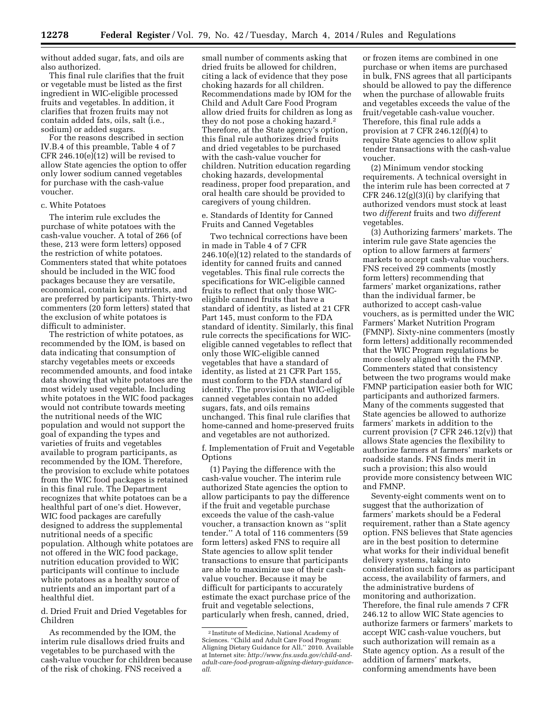without added sugar, fats, and oils are also authorized.

This final rule clarifies that the fruit or vegetable must be listed as the first ingredient in WIC-eligible processed fruits and vegetables. In addition, it clarifies that frozen fruits may not contain added fats, oils, salt (i.e., sodium) or added sugars.

For the reasons described in section IV.B.4 of this preamble, Table 4 of 7 CFR 246.10(e)(12) will be revised to allow State agencies the option to offer only lower sodium canned vegetables for purchase with the cash-value voucher.

#### c. White Potatoes

The interim rule excludes the purchase of white potatoes with the cash-value voucher. A total of 266 (of these, 213 were form letters) opposed the restriction of white potatoes. Commenters stated that white potatoes should be included in the WIC food packages because they are versatile, economical, contain key nutrients, and are preferred by participants. Thirty-two commenters (20 form letters) stated that the exclusion of white potatoes is difficult to administer.

The restriction of white potatoes, as recommended by the IOM, is based on data indicating that consumption of starchy vegetables meets or exceeds recommended amounts, and food intake data showing that white potatoes are the most widely used vegetable. Including white potatoes in the WIC food packages would not contribute towards meeting the nutritional needs of the WIC population and would not support the goal of expanding the types and varieties of fruits and vegetables available to program participants, as recommended by the IOM. Therefore, the provision to exclude white potatoes from the WIC food packages is retained in this final rule. The Department recognizes that white potatoes can be a healthful part of one's diet. However, WIC food packages are carefully designed to address the supplemental nutritional needs of a specific population. Although white potatoes are not offered in the WIC food package, nutrition education provided to WIC participants will continue to include white potatoes as a healthy source of nutrients and an important part of a healthful diet.

d. Dried Fruit and Dried Vegetables for Children

As recommended by the IOM, the interim rule disallows dried fruits and vegetables to be purchased with the cash-value voucher for children because of the risk of choking. FNS received a

small number of comments asking that dried fruits be allowed for children, citing a lack of evidence that they pose choking hazards for all children. Recommendations made by IOM for the Child and Adult Care Food Program allow dried fruits for children as long as they do not pose a choking hazard.2 Therefore, at the State agency's option, this final rule authorizes dried fruits and dried vegetables to be purchased with the cash-value voucher for children. Nutrition education regarding choking hazards, developmental readiness, proper food preparation, and oral health care should be provided to caregivers of young children.

e. Standards of Identity for Canned Fruits and Canned Vegetables

Two technical corrections have been in made in Table 4 of 7 CFR 246.10(e)(12) related to the standards of identity for canned fruits and canned vegetables. This final rule corrects the specifications for WIC-eligible canned fruits to reflect that only those WICeligible canned fruits that have a standard of identity, as listed at 21 CFR Part 145, must conform to the FDA standard of identity. Similarly, this final rule corrects the specifications for WICeligible canned vegetables to reflect that only those WIC-eligible canned vegetables that have a standard of identity, as listed at 21 CFR Part 155, must conform to the FDA standard of identity. The provision that WIC-eligible canned vegetables contain no added sugars, fats, and oils remains unchanged. This final rule clarifies that home-canned and home-preserved fruits and vegetables are not authorized.

f. Implementation of Fruit and Vegetable **Options** 

(1) Paying the difference with the cash-value voucher. The interim rule authorized State agencies the option to allow participants to pay the difference if the fruit and vegetable purchase exceeds the value of the cash-value voucher, a transaction known as ''split tender.'' A total of 116 commenters (59 form letters) asked FNS to require all State agencies to allow split tender transactions to ensure that participants are able to maximize use of their cashvalue voucher. Because it may be difficult for participants to accurately estimate the exact purchase price of the fruit and vegetable selections, particularly when fresh, canned, dried,

or frozen items are combined in one purchase or when items are purchased in bulk, FNS agrees that all participants should be allowed to pay the difference when the purchase of allowable fruits and vegetables exceeds the value of the fruit/vegetable cash-value voucher. Therefore, this final rule adds a provision at 7 CFR 246.12(f)(4) to require State agencies to allow split tender transactions with the cash-value voucher.

(2) Minimum vendor stocking requirements. A technical oversight in the interim rule has been corrected at 7 CFR 246.12(g)(3)(i) by clarifying that authorized vendors must stock at least two *different* fruits and two *different*  vegetables.

(3) Authorizing farmers' markets. The interim rule gave State agencies the option to allow farmers at farmers' markets to accept cash-value vouchers. FNS received 29 comments (mostly form letters) recommending that farmers' market organizations, rather than the individual farmer, be authorized to accept cash-value vouchers, as is permitted under the WIC Farmers' Market Nutrition Program (FMNP). Sixty-nine commenters (mostly form letters) additionally recommended that the WIC Program regulations be more closely aligned with the FMNP. Commenters stated that consistency between the two programs would make FMNP participation easier both for WIC participants and authorized farmers. Many of the comments suggested that State agencies be allowed to authorize farmers' markets in addition to the current provision (7 CFR 246.12(v)) that allows State agencies the flexibility to authorize farmers at farmers' markets or roadside stands. FNS finds merit in such a provision; this also would provide more consistency between WIC and FMNP.

Seventy-eight comments went on to suggest that the authorization of farmers' markets should be a Federal requirement, rather than a State agency option. FNS believes that State agencies are in the best position to determine what works for their individual benefit delivery systems, taking into consideration such factors as participant access, the availability of farmers, and the administrative burdens of monitoring and authorization. Therefore, the final rule amends 7 CFR 246.12 to allow WIC State agencies to authorize farmers or farmers' markets to accept WIC cash-value vouchers, but such authorization will remain as a State agency option. As a result of the addition of farmers' markets, conforming amendments have been

<sup>2</sup> Institute of Medicine, National Academy of Sciences. ''Child and Adult Care Food Program: Aligning Dietary Guidance for All,'' 2010. Available at Internet site: *[http://www.fns.usda.gov/child-and](http://www.fns.usda.gov/child-and-adult-care-food-program-aligning-dietary-guidance-all)[adult-care-food-program-aligning-dietary-guidance](http://www.fns.usda.gov/child-and-adult-care-food-program-aligning-dietary-guidance-all)all*.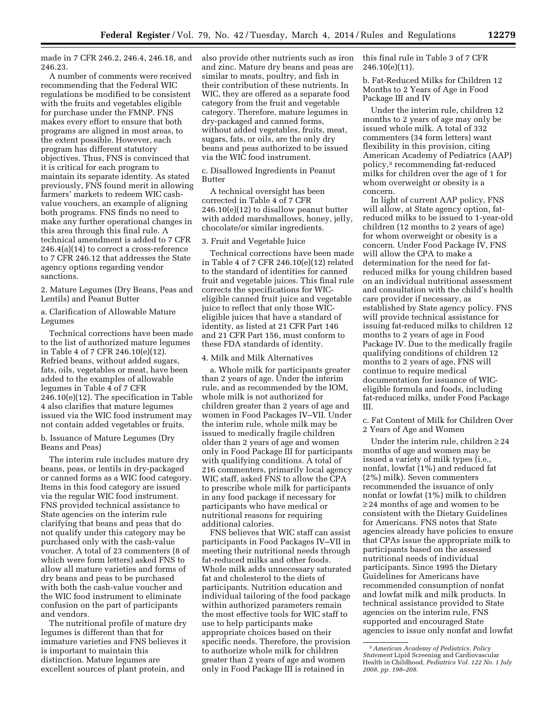made in 7 CFR 246.2, 246.4, 246.18, and 246.23.

A number of comments were received recommending that the Federal WIC regulations be modified to be consistent with the fruits and vegetables eligible for purchase under the FMNP. FNS makes every effort to ensure that both programs are aligned in most areas, to the extent possible. However, each program has different statutory objectives. Thus, FNS is convinced that it is critical for each program to maintain its separate identity. As stated previously, FNS found merit in allowing farmers' markets to redeem WIC cashvalue vouchers, an example of aligning both programs. FNS finds no need to make any further operational changes in this area through this final rule. A technical amendment is added to 7 CFR 246.4(a)(14) to correct a cross-reference to 7 CFR 246.12 that addresses the State agency options regarding vendor sanctions.

2. Mature Legumes (Dry Beans, Peas and Lentils) and Peanut Butter

a. Clarification of Allowable Mature Legumes

Technical corrections have been made to the list of authorized mature legumes in Table 4 of 7 CFR 246.10(e)(12). Refried beans, without added sugars, fats, oils, vegetables or meat, have been added to the examples of allowable legumes in Table 4 of 7 CFR 246.10(e)(12). The specification in Table 4 also clarifies that mature legumes issued via the WIC food instrument may not contain added vegetables or fruits.

b. Issuance of Mature Legumes (Dry Beans and Peas)

The interim rule includes mature dry beans, peas, or lentils in dry-packaged or canned forms as a WIC food category. Items in this food category are issued via the regular WIC food instrument. FNS provided technical assistance to State agencies on the interim rule clarifying that beans and peas that do not qualify under this category may be purchased only with the cash-value voucher. A total of 23 commenters (8 of which were form letters) asked FNS to allow all mature varieties and forms of dry beans and peas to be purchased with both the cash-value voucher and the WIC food instrument to eliminate confusion on the part of participants and vendors.

The nutritional profile of mature dry legumes is different than that for immature varieties and FNS believes it is important to maintain this distinction. Mature legumes are excellent sources of plant protein, and

also provide other nutrients such as iron and zinc. Mature dry beans and peas are similar to meats, poultry, and fish in their contribution of these nutrients. In WIC, they are offered as a separate food category from the fruit and vegetable category. Therefore, mature legumes in dry-packaged and canned forms, without added vegetables, fruits, meat, sugars, fats, or oils, are the only dry beans and peas authorized to be issued via the WIC food instrument.

c. Disallowed Ingredients in Peanut Butter

A technical oversight has been corrected in Table 4 of 7 CFR 246.10(e)(12) to disallow peanut butter with added marshmallows, honey, jelly, chocolate/or similar ingredients.

#### 3. Fruit and Vegetable Juice

Technical corrections have been made in Table 4 of 7 CFR 246.10(e)(12) related to the standard of identities for canned fruit and vegetable juices. This final rule corrects the specifications for WICeligible canned fruit juice and vegetable juice to reflect that only those WICeligible juices that have a standard of identity, as listed at 21 CFR Part 146 and 21 CFR Part 156, must conform to these FDA standards of identity.

#### 4. Milk and Milk Alternatives

a. Whole milk for participants greater than 2 years of age. Under the interim rule, and as recommended by the IOM, whole milk is not authorized for children greater than 2 years of age and women in Food Packages IV–VII. Under the interim rule, whole milk may be issued to medically fragile children older than 2 years of age and women only in Food Package III for participants with qualifying conditions. A total of 216 commenters, primarily local agency WIC staff, asked FNS to allow the CPA to prescribe whole milk for participants in any food package if necessary for participants who have medical or nutritional reasons for requiring additional calories.

FNS believes that WIC staff can assist participants in Food Packages IV–VII in meeting their nutritional needs through fat-reduced milks and other foods. Whole milk adds unnecessary saturated fat and cholesterol to the diets of participants. Nutrition education and individual tailoring of the food package within authorized parameters remain the most effective tools for WIC staff to use to help participants make appropriate choices based on their specific needs. Therefore, the provision to authorize whole milk for children greater than 2 years of age and women only in Food Package III is retained in

this final rule in Table 3 of 7 CFR 246.10(e)(11).

b. Fat-Reduced Milks for Children 12 Months to 2 Years of Age in Food Package III and IV

Under the interim rule, children 12 months to 2 years of age may only be issued whole milk. A total of 332 commenters (34 form letters) want flexibility in this provision, citing American Academy of Pediatrics (AAP) policy,3 recommending fat-reduced milks for children over the age of 1 for whom overweight or obesity is a concern.

In light of current AAP policy, FNS will allow, at State agency option, fatreduced milks to be issued to 1-year-old children (12 months to 2 years of age) for whom overweight or obesity is a concern. Under Food Package IV, FNS will allow the CPA to make a determination for the need for fatreduced milks for young children based on an individual nutritional assessment and consultation with the child's health care provider if necessary, as established by State agency policy. FNS will provide technical assistance for issuing fat-reduced milks to children 12 months to 2 years of age in Food Package IV. Due to the medically fragile qualifying conditions of children 12 months to 2 years of age, FNS will continue to require medical documentation for issuance of WICeligible formula and foods, including fat-reduced milks, under Food Package III.

c. Fat Content of Milk for Children Over 2 Years of Age and Women

Under the interim rule, children  $\geq 24$ months of age and women may be issued a variety of milk types (i.e., nonfat, lowfat (1%) and reduced fat (2%) milk). Seven commenters recommended the issuance of only nonfat or lowfat (1%) milk to children ≥ 24 months of age and women to be consistent with the Dietary Guidelines for Americans. FNS notes that State agencies already have policies to ensure that CPAs issue the appropriate milk to participants based on the assessed nutritional needs of individual participants. Since 1995 the Dietary Guidelines for Americans have recommended consumption of nonfat and lowfat milk and milk products. In technical assistance provided to State agencies on the interim rule, FNS supported and encouraged State agencies to issue only nonfat and lowfat

<sup>3</sup>*American Academy of Pediatrics. Policy Statement* Lipid Screening and Cardiovascular Health in Childhood, *Pediatrics Vol. 122 No. 1 July 2008, pp. 198–208.*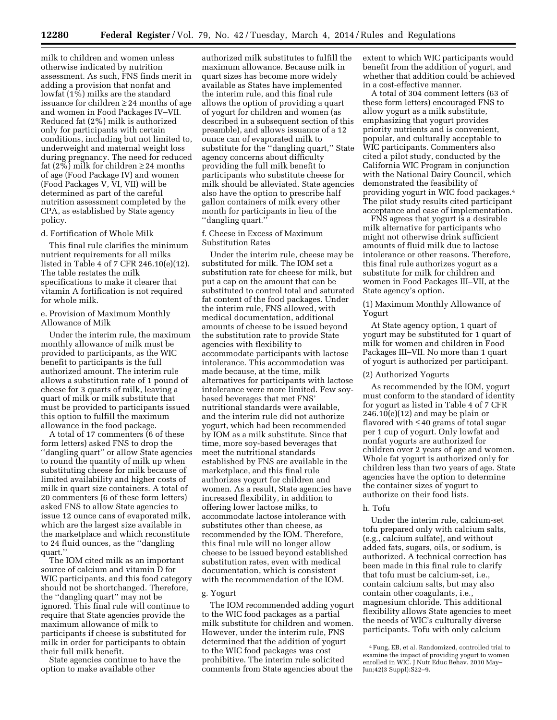milk to children and women unless otherwise indicated by nutrition assessment. As such, FNS finds merit in adding a provision that nonfat and lowfat  $(1\%)$  milks are the standard issuance for children ≥ 24 months of age and women in Food Packages IV–VII. Reduced fat (2%) milk is authorized only for participants with certain conditions, including but not limited to, underweight and maternal weight loss during pregnancy. The need for reduced fat (2%) milk for children  $\geq$  24 months of age (Food Package IV) and women (Food Packages V, VI, VII) will be determined as part of the careful nutrition assessment completed by the CPA, as established by State agency policy.

#### d. Fortification of Whole Milk

This final rule clarifies the minimum nutrient requirements for all milks listed in Table 4 of 7 CFR 246.10(e)(12). The table restates the milk specifications to make it clearer that vitamin A fortification is not required for whole milk.

#### e. Provision of Maximum Monthly Allowance of Milk

Under the interim rule, the maximum monthly allowance of milk must be provided to participants, as the WIC benefit to participants is the full authorized amount. The interim rule allows a substitution rate of 1 pound of cheese for 3 quarts of milk, leaving a quart of milk or milk substitute that must be provided to participants issued this option to fulfill the maximum allowance in the food package.

A total of 17 commenters (6 of these form letters) asked FNS to drop the ''dangling quart'' or allow State agencies to round the quantity of milk up when substituting cheese for milk because of limited availability and higher costs of milk in quart size containers. A total of 20 commenters (6 of these form letters) asked FNS to allow State agencies to issue 12 ounce cans of evaporated milk, which are the largest size available in the marketplace and which reconstitute to 24 fluid ounces, as the ''dangling quart.''

The IOM cited milk as an important source of calcium and vitamin D for WIC participants, and this food category should not be shortchanged. Therefore, the ''dangling quart'' may not be ignored. This final rule will continue to require that State agencies provide the maximum allowance of milk to participants if cheese is substituted for milk in order for participants to obtain their full milk benefit.

State agencies continue to have the option to make available other

authorized milk substitutes to fulfill the maximum allowance. Because milk in quart sizes has become more widely available as States have implemented the interim rule, and this final rule allows the option of providing a quart of yogurt for children and women (as described in a subsequent section of this preamble), and allows issuance of a 12 ounce can of evaporated milk to substitute for the ''dangling quart,'' State agency concerns about difficulty providing the full milk benefit to participants who substitute cheese for milk should be alleviated. State agencies also have the option to prescribe half gallon containers of milk every other month for participants in lieu of the ''dangling quart.''

#### f. Cheese in Excess of Maximum Substitution Rates

Under the interim rule, cheese may be substituted for milk. The IOM set a substitution rate for cheese for milk, but put a cap on the amount that can be substituted to control total and saturated fat content of the food packages. Under the interim rule, FNS allowed, with medical documentation, additional amounts of cheese to be issued beyond the substitution rate to provide State agencies with flexibility to accommodate participants with lactose intolerance. This accommodation was made because, at the time, milk alternatives for participants with lactose intolerance were more limited. Few soybased beverages that met FNS' nutritional standards were available, and the interim rule did not authorize yogurt, which had been recommended by IOM as a milk substitute. Since that time, more soy-based beverages that meet the nutritional standards established by FNS are available in the marketplace, and this final rule authorizes yogurt for children and women. As a result, State agencies have increased flexibility, in addition to offering lower lactose milks, to accommodate lactose intolerance with substitutes other than cheese, as recommended by the IOM. Therefore, this final rule will no longer allow cheese to be issued beyond established substitution rates, even with medical documentation, which is consistent with the recommendation of the IOM.

#### g. Yogurt

The IOM recommended adding yogurt to the WIC food packages as a partial milk substitute for children and women. However, under the interim rule, FNS determined that the addition of yogurt to the WIC food packages was cost prohibitive. The interim rule solicited comments from State agencies about the

extent to which WIC participants would benefit from the addition of yogurt, and whether that addition could be achieved in a cost-effective manner.

A total of 304 comment letters (63 of these form letters) encouraged FNS to allow yogurt as a milk substitute, emphasizing that yogurt provides priority nutrients and is convenient, popular, and culturally acceptable to WIC participants. Commenters also cited a pilot study, conducted by the California WIC Program in conjunction with the National Dairy Council, which demonstrated the feasibility of providing yogurt in WIC food packages.4 The pilot study results cited participant acceptance and ease of implementation.

FNS agrees that yogurt is a desirable milk alternative for participants who might not otherwise drink sufficient amounts of fluid milk due to lactose intolerance or other reasons. Therefore, this final rule authorizes yogurt as a substitute for milk for children and women in Food Packages III–VII, at the State agency's option.

#### (1) Maximum Monthly Allowance of Yogurt

At State agency option, 1 quart of yogurt may be substituted for 1 quart of milk for women and children in Food Packages III–VII. No more than 1 quart of yogurt is authorized per participant.

#### (2) Authorized Yogurts

As recommended by the IOM, yogurt must conform to the standard of identity for yogurt as listed in Table 4 of 7 CFR  $246.10(e)(12)$  and may be plain or flavored with ≤ 40 grams of total sugar per 1 cup of yogurt. Only lowfat and nonfat yogurts are authorized for children over 2 years of age and women. Whole fat yogurt is authorized only for children less than two years of age. State agencies have the option to determine the container sizes of yogurt to authorize on their food lists.

#### h. Tofu

Under the interim rule, calcium-set tofu prepared only with calcium salts, (e.g., calcium sulfate), and without added fats, sugars, oils, or sodium, is authorized. A technical correction has been made in this final rule to clarify that tofu must be calcium-set, i.e., contain calcium salts, but may also contain other coagulants, i.e., magnesium chloride. This additional flexibility allows State agencies to meet the needs of WIC's culturally diverse participants. Tofu with only calcium

<sup>4</sup>Fung, EB, et al. Randomized, controlled trial to examine the impact of providing yogurt to women enrolled in WIC. J Nutr Educ Behav. 2010 May– Jun;42(3 Suppl):S22–9.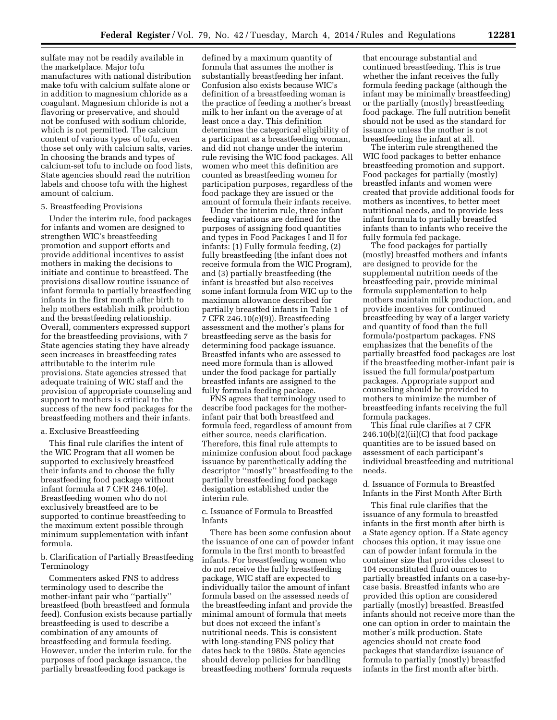sulfate may not be readily available in the marketplace. Major tofu manufactures with national distribution make tofu with calcium sulfate alone or in addition to magnesium chloride as a coagulant. Magnesium chloride is not a flavoring or preservative, and should not be confused with sodium chloride, which is not permitted. The calcium content of various types of tofu, even those set only with calcium salts, varies. In choosing the brands and types of calcium-set tofu to include on food lists, State agencies should read the nutrition labels and choose tofu with the highest amount of calcium.

#### 5. Breastfeeding Provisions

Under the interim rule, food packages for infants and women are designed to strengthen WIC's breastfeeding promotion and support efforts and provide additional incentives to assist mothers in making the decisions to initiate and continue to breastfeed. The provisions disallow routine issuance of infant formula to partially breastfeeding infants in the first month after birth to help mothers establish milk production and the breastfeeding relationship. Overall, commenters expressed support for the breastfeeding provisions, with 7 State agencies stating they have already seen increases in breastfeeding rates attributable to the interim rule provisions. State agencies stressed that adequate training of WIC staff and the provision of appropriate counseling and support to mothers is critical to the success of the new food packages for the breastfeeding mothers and their infants.

#### a. Exclusive Breastfeeding

This final rule clarifies the intent of the WIC Program that all women be supported to exclusively breastfeed their infants and to choose the fully breastfeeding food package without infant formula at 7 CFR 246.10(e). Breastfeeding women who do not exclusively breastfeed are to be supported to continue breastfeeding to the maximum extent possible through minimum supplementation with infant formula.

b. Clarification of Partially Breastfeeding Terminology

Commenters asked FNS to address terminology used to describe the mother-infant pair who ''partially'' breastfeed (both breastfeed and formula feed). Confusion exists because partially breastfeeding is used to describe a combination of any amounts of breastfeeding and formula feeding. However, under the interim rule, for the purposes of food package issuance, the partially breastfeeding food package is

defined by a maximum quantity of formula that assumes the mother is substantially breastfeeding her infant. Confusion also exists because WIC's definition of a breastfeeding woman is the practice of feeding a mother's breast milk to her infant on the average of at least once a day. This definition determines the categorical eligibility of a participant as a breastfeeding woman, and did not change under the interim rule revising the WIC food packages. All women who meet this definition are counted as breastfeeding women for participation purposes, regardless of the food package they are issued or the amount of formula their infants receive.

Under the interim rule, three infant feeding variations are defined for the purposes of assigning food quantities and types in Food Packages I and II for infants: (1) Fully formula feeding, (2) fully breastfeeding (the infant does not receive formula from the WIC Program), and (3) partially breastfeeding (the infant is breastfed but also receives some infant formula from WIC up to the maximum allowance described for partially breastfed infants in Table 1 of 7 CFR 246.10(e)(9)). Breastfeeding assessment and the mother's plans for breastfeeding serve as the basis for determining food package issuance. Breastfed infants who are assessed to need more formula than is allowed under the food package for partially breastfed infants are assigned to the fully formula feeding package.

FNS agrees that terminology used to describe food packages for the motherinfant pair that both breastfeed and formula feed, regardless of amount from either source, needs clarification. Therefore, this final rule attempts to minimize confusion about food package issuance by parenthetically adding the descriptor ''mostly'' breastfeeding to the partially breastfeeding food package designation established under the interim rule.

c. Issuance of Formula to Breastfed Infants

There has been some confusion about the issuance of one can of powder infant formula in the first month to breastfed infants. For breastfeeding women who do not receive the fully breastfeeding package, WIC staff are expected to individually tailor the amount of infant formula based on the assessed needs of the breastfeeding infant and provide the minimal amount of formula that meets but does not exceed the infant's nutritional needs. This is consistent with long-standing FNS policy that dates back to the 1980s. State agencies should develop policies for handling breastfeeding mothers' formula requests

that encourage substantial and continued breastfeeding. This is true whether the infant receives the fully formula feeding package (although the infant may be minimally breastfeeding) or the partially (mostly) breastfeeding food package. The full nutrition benefit should not be used as the standard for issuance unless the mother is not breastfeeding the infant at all.

The interim rule strengthened the WIC food packages to better enhance breastfeeding promotion and support. Food packages for partially (mostly) breastfed infants and women were created that provide additional foods for mothers as incentives, to better meet nutritional needs, and to provide less infant formula to partially breastfed infants than to infants who receive the fully formula fed package.

The food packages for partially (mostly) breastfed mothers and infants are designed to provide for the supplemental nutrition needs of the breastfeeding pair, provide minimal formula supplementation to help mothers maintain milk production, and provide incentives for continued breastfeeding by way of a larger variety and quantity of food than the full formula/postpartum packages. FNS emphasizes that the benefits of the partially breastfed food packages are lost if the breastfeeding mother-infant pair is issued the full formula/postpartum packages. Appropriate support and counseling should be provided to mothers to minimize the number of breastfeeding infants receiving the full formula packages.

This final rule clarifies at 7 CFR  $246.10(b)(2)(ii)(C)$  that food package quantities are to be issued based on assessment of each participant's individual breastfeeding and nutritional needs.

#### d. Issuance of Formula to Breastfed Infants in the First Month After Birth

This final rule clarifies that the issuance of any formula to breastfed infants in the first month after birth is a State agency option. If a State agency chooses this option, it may issue one can of powder infant formula in the container size that provides closest to 104 reconstituted fluid ounces to partially breastfed infants on a case-bycase basis. Breastfed infants who are provided this option are considered partially (mostly) breastfed. Breastfed infants should not receive more than the one can option in order to maintain the mother's milk production. State agencies should not create food packages that standardize issuance of formula to partially (mostly) breastfed infants in the first month after birth.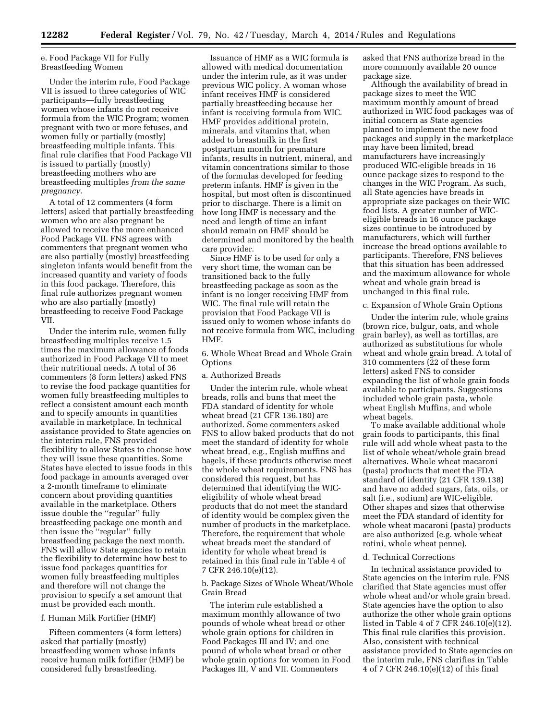e. Food Package VII for Fully Breastfeeding Women

Under the interim rule, Food Package VII is issued to three categories of WIC participants—fully breastfeeding women whose infants do not receive formula from the WIC Program; women pregnant with two or more fetuses, and women fully or partially (mostly) breastfeeding multiple infants. This final rule clarifies that Food Package VII is issued to partially (mostly) breastfeeding mothers who are breastfeeding multiples *from the same pregnancy.* 

A total of 12 commenters (4 form letters) asked that partially breastfeeding women who are also pregnant be allowed to receive the more enhanced Food Package VII. FNS agrees with commenters that pregnant women who are also partially (mostly) breastfeeding singleton infants would benefit from the increased quantity and variety of foods in this food package. Therefore, this final rule authorizes pregnant women who are also partially (mostly) breastfeeding to receive Food Package VII.

Under the interim rule, women fully breastfeeding multiples receive 1.5 times the maximum allowance of foods authorized in Food Package VII to meet their nutritional needs. A total of 36 commenters (8 form letters) asked FNS to revise the food package quantities for women fully breastfeeding multiples to reflect a consistent amount each month and to specify amounts in quantities available in marketplace. In technical assistance provided to State agencies on the interim rule, FNS provided flexibility to allow States to choose how they will issue these quantities. Some States have elected to issue foods in this food package in amounts averaged over a 2-month timeframe to eliminate concern about providing quantities available in the marketplace. Others issue double the ''regular'' fully breastfeeding package one month and then issue the ''regular'' fully breastfeeding package the next month. FNS will allow State agencies to retain the flexibility to determine how best to issue food packages quantities for women fully breastfeeding multiples and therefore will not change the provision to specify a set amount that must be provided each month.

#### f. Human Milk Fortifier (HMF)

Fifteen commenters (4 form letters) asked that partially (mostly) breastfeeding women whose infants receive human milk fortifier (HMF) be considered fully breastfeeding.

Issuance of HMF as a WIC formula is allowed with medical documentation under the interim rule, as it was under previous WIC policy. A woman whose infant receives HMF is considered partially breastfeeding because her infant is receiving formula from WIC. HMF provides additional protein, minerals, and vitamins that, when added to breastmilk in the first postpartum month for premature infants, results in nutrient, mineral, and vitamin concentrations similar to those of the formulas developed for feeding preterm infants. HMF is given in the hospital, but most often is discontinued prior to discharge. There is a limit on how long HMF is necessary and the need and length of time an infant should remain on HMF should be determined and monitored by the health care provider.

Since HMF is to be used for only a very short time, the woman can be transitioned back to the fully breastfeeding package as soon as the infant is no longer receiving HMF from WIC. The final rule will retain the provision that Food Package VII is issued only to women whose infants do not receive formula from WIC, including HMF.

#### 6. Whole Wheat Bread and Whole Grain **Options**

#### a. Authorized Breads

Under the interim rule, whole wheat breads, rolls and buns that meet the FDA standard of identity for whole wheat bread (21 CFR 136.180) are authorized. Some commenters asked FNS to allow baked products that do not meet the standard of identity for whole wheat bread, e.g., English muffins and bagels, if these products otherwise meet the whole wheat requirements. FNS has considered this request, but has determined that identifying the WICeligibility of whole wheat bread products that do not meet the standard of identity would be complex given the number of products in the marketplace. Therefore, the requirement that whole wheat breads meet the standard of identity for whole wheat bread is retained in this final rule in Table 4 of 7 CFR 246.10(e)(12).

b. Package Sizes of Whole Wheat/Whole Grain Bread

The interim rule established a maximum monthly allowance of two pounds of whole wheat bread or other whole grain options for children in Food Packages III and IV; and one pound of whole wheat bread or other whole grain options for women in Food Packages III, V and VII. Commenters

asked that FNS authorize bread in the more commonly available 20 ounce package size.

Although the availability of bread in package sizes to meet the WIC maximum monthly amount of bread authorized in WIC food packages was of initial concern as State agencies planned to implement the new food packages and supply in the marketplace may have been limited, bread manufacturers have increasingly produced WIC-eligible breads in 16 ounce package sizes to respond to the changes in the WIC Program. As such, all State agencies have breads in appropriate size packages on their WIC food lists. A greater number of WICeligible breads in 16 ounce package sizes continue to be introduced by manufacturers, which will further increase the bread options available to participants. Therefore, FNS believes that this situation has been addressed and the maximum allowance for whole wheat and whole grain bread is unchanged in this final rule.

#### c. Expansion of Whole Grain Options

Under the interim rule, whole grains (brown rice, bulgur, oats, and whole grain barley), as well as tortillas, are authorized as substitutions for whole wheat and whole grain bread. A total of 310 commenters (22 of these form letters) asked FNS to consider expanding the list of whole grain foods available to participants. Suggestions included whole grain pasta, whole wheat English Muffins, and whole wheat bagels.

To make available additional whole grain foods to participants, this final rule will add whole wheat pasta to the list of whole wheat/whole grain bread alternatives. Whole wheat macaroni (pasta) products that meet the FDA standard of identity (21 CFR 139.138) and have no added sugars, fats, oils, or salt (i.e., sodium) are WIC-eligible. Other shapes and sizes that otherwise meet the FDA standard of identity for whole wheat macaroni (pasta) products are also authorized (e.g. whole wheat rotini, whole wheat penne).

#### d. Technical Corrections

In technical assistance provided to State agencies on the interim rule, FNS clarified that State agencies must offer whole wheat and/or whole grain bread. State agencies have the option to also authorize the other whole grain options listed in Table 4 of 7 CFR 246.10(e)(12). This final rule clarifies this provision. Also, consistent with technical assistance provided to State agencies on the interim rule, FNS clarifies in Table 4 of 7 CFR 246.10(e)(12) of this final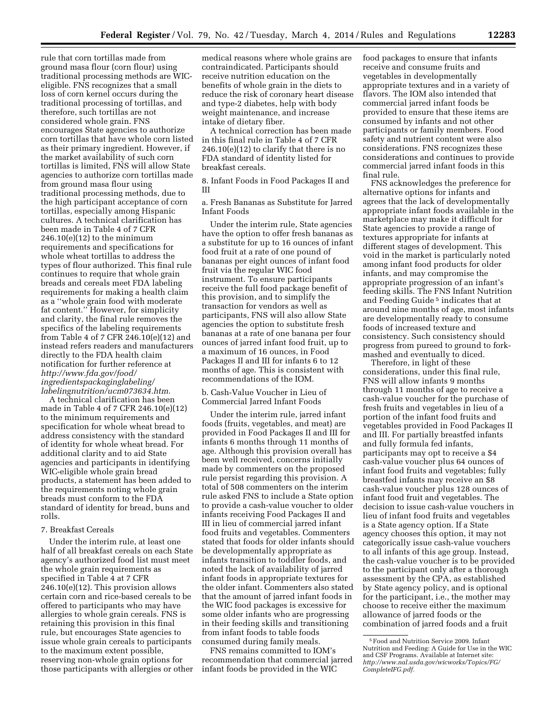rule that corn tortillas made from ground masa flour (corn flour) using traditional processing methods are WICeligible. FNS recognizes that a small loss of corn kernel occurs during the traditional processing of tortillas, and therefore, such tortillas are not considered whole grain. FNS encourages State agencies to authorize corn tortillas that have whole corn listed as their primary ingredient. However, if the market availability of such corn tortillas is limited, FNS will allow State agencies to authorize corn tortillas made from ground masa flour using traditional processing methods, due to the high participant acceptance of corn tortillas, especially among Hispanic cultures. A technical clarification has been made in Table 4 of 7 CFR 246.10(e)(12) to the minimum requirements and specifications for whole wheat tortillas to address the types of flour authorized. This final rule continues to require that whole grain breads and cereals meet FDA labeling requirements for making a health claim as a ''whole grain food with moderate fat content.'' However, for simplicity and clarity, the final rule removes the specifics of the labeling requirements from Table 4 of 7 CFR 246.10(e)(12) and instead refers readers and manufacturers directly to the FDA health claim notification for further reference at *[http://www.fda.gov/food/](http://www.fda.gov/food/ingredientspackaginglabeling/labelingnutrition/ucm073634.htm) [ingredientspackaginglabeling/](http://www.fda.gov/food/ingredientspackaginglabeling/labelingnutrition/ucm073634.htm) [labelingnutrition/ucm073634.htm](http://www.fda.gov/food/ingredientspackaginglabeling/labelingnutrition/ucm073634.htm)*.

A technical clarification has been made in Table 4 of 7 CFR 246.10(e)(12) to the minimum requirements and specification for whole wheat bread to address consistency with the standard of identity for whole wheat bread. For additional clarity and to aid State agencies and participants in identifying WIC-eligible whole grain bread products, a statement has been added to the requirements noting whole grain breads must conform to the FDA standard of identity for bread, buns and rolls.

#### 7. Breakfast Cereals

Under the interim rule, at least one half of all breakfast cereals on each State agency's authorized food list must meet the whole grain requirements as specified in Table 4 at 7 CFR 246.10(e)(12). This provision allows certain corn and rice-based cereals to be offered to participants who may have allergies to whole grain cereals. FNS is retaining this provision in this final rule, but encourages State agencies to issue whole grain cereals to participants to the maximum extent possible, reserving non-whole grain options for those participants with allergies or other

medical reasons where whole grains are contraindicated. Participants should receive nutrition education on the benefits of whole grain in the diets to reduce the risk of coronary heart disease and type-2 diabetes, help with body weight maintenance, and increase intake of dietary fiber.

A technical correction has been made in this final rule in Table 4 of 7 CFR  $246.10(e)(12)$  to clarify that there is no FDA standard of identity listed for breakfast cereals.

8. Infant Foods in Food Packages II and III

a. Fresh Bananas as Substitute for Jarred Infant Foods

Under the interim rule, State agencies have the option to offer fresh bananas as a substitute for up to 16 ounces of infant food fruit at a rate of one pound of bananas per eight ounces of infant food fruit via the regular WIC food instrument. To ensure participants receive the full food package benefit of this provision, and to simplify the transaction for vendors as well as participants, FNS will also allow State agencies the option to substitute fresh bananas at a rate of one banana per four ounces of jarred infant food fruit, up to a maximum of 16 ounces, in Food Packages II and III for infants 6 to 12 months of age. This is consistent with recommendations of the IOM.

b. Cash-Value Voucher in Lieu of Commercial Jarred Infant Foods

Under the interim rule, jarred infant foods (fruits, vegetables, and meat) are provided in Food Packages II and III for infants 6 months through 11 months of age. Although this provision overall has been well received, concerns initially made by commenters on the proposed rule persist regarding this provision. A total of 508 commenters on the interim rule asked FNS to include a State option to provide a cash-value voucher to older infants receiving Food Packages II and III in lieu of commercial jarred infant food fruits and vegetables. Commenters stated that foods for older infants should be developmentally appropriate as infants transition to toddler foods, and noted the lack of availability of jarred infant foods in appropriate textures for the older infant. Commenters also stated that the amount of jarred infant foods in the WIC food packages is excessive for some older infants who are progressing in their feeding skills and transitioning from infant foods to table foods consumed during family meals.

FNS remains committed to IOM's recommendation that commercial jarred infant foods be provided in the WIC

food packages to ensure that infants receive and consume fruits and vegetables in developmentally appropriate textures and in a variety of flavors. The IOM also intended that commercial jarred infant foods be provided to ensure that these items are consumed by infants and not other participants or family members. Food safety and nutrient content were also considerations. FNS recognizes these considerations and continues to provide commercial jarred infant foods in this final rule.

FNS acknowledges the preference for alternative options for infants and agrees that the lack of developmentally appropriate infant foods available in the marketplace may make it difficult for State agencies to provide a range of textures appropriate for infants at different stages of development. This void in the market is particularly noted among infant food products for older infants, and may compromise the appropriate progression of an infant's feeding skills. The FNS Infant Nutrition and Feeding Guide 5 indicates that at around nine months of age, most infants are developmentally ready to consume foods of increased texture and consistency. Such consistency should progress from pureed to ground to forkmashed and eventually to diced.

Therefore, in light of these considerations, under this final rule, FNS will allow infants 9 months through 11 months of age to receive a cash-value voucher for the purchase of fresh fruits and vegetables in lieu of a portion of the infant food fruits and vegetables provided in Food Packages II and III. For partially breastfed infants and fully formula fed infants, participants may opt to receive a \$4 cash-value voucher plus 64 ounces of infant food fruits and vegetables; fully breastfed infants may receive an \$8 cash-value voucher plus 128 ounces of infant food fruit and vegetables. The decision to issue cash-value vouchers in lieu of infant food fruits and vegetables is a State agency option. If a State agency chooses this option, it may not categorically issue cash-value vouchers to all infants of this age group. Instead, the cash-value voucher is to be provided to the participant only after a thorough assessment by the CPA, as established by State agency policy, and is optional for the participant, i.e., the mother may choose to receive either the maximum allowance of jarred foods or the combination of jarred foods and a fruit

<sup>5</sup>Food and Nutrition Service 2009. Infant Nutrition and Feeding: A Guide for Use in the WIC and CSF Programs. Available at Internet site: *[http://www.nal.usda.gov/wicworks/Topics/FG/](http://www.nal.usda.gov/wicworks/Topics/FG/CompleteIFG.pdf) [CompleteIFG.pdf.](http://www.nal.usda.gov/wicworks/Topics/FG/CompleteIFG.pdf)*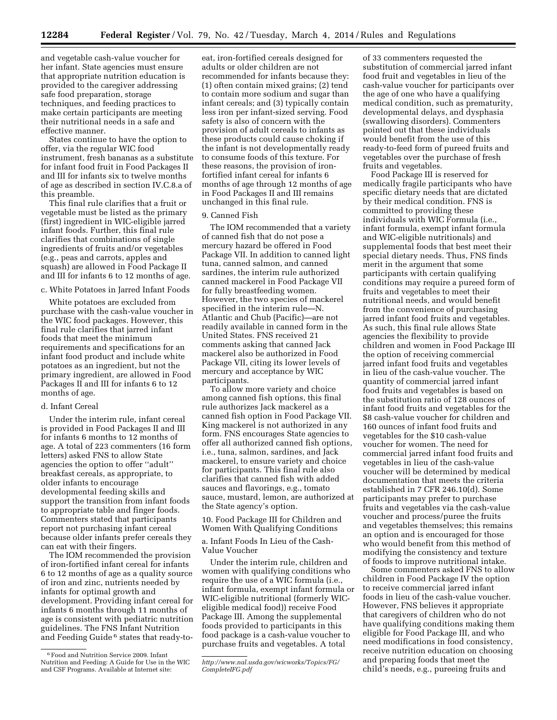and vegetable cash-value voucher for her infant. State agencies must ensure that appropriate nutrition education is provided to the caregiver addressing safe food preparation, storage techniques, and feeding practices to make certain participants are meeting their nutritional needs in a safe and effective manner.

States continue to have the option to offer, via the regular WIC food instrument, fresh bananas as a substitute for infant food fruit in Food Packages II and III for infants six to twelve months of age as described in section IV.C.8.a of this preamble.

This final rule clarifies that a fruit or vegetable must be listed as the primary (first) ingredient in WIC-eligible jarred infant foods. Further, this final rule clarifies that combinations of single ingredients of fruits and/or vegetables (e.g., peas and carrots, apples and squash) are allowed in Food Package II and III for infants 6 to 12 months of age.

#### c. White Potatoes in Jarred Infant Foods

White potatoes are excluded from purchase with the cash-value voucher in the WIC food packages. However, this final rule clarifies that jarred infant foods that meet the minimum requirements and specifications for an infant food product and include white potatoes as an ingredient, but not the primary ingredient, are allowed in Food Packages II and III for infants 6 to 12 months of age.

#### d. Infant Cereal

Under the interim rule, infant cereal is provided in Food Packages II and III for infants 6 months to 12 months of age. A total of 223 commenters (16 form letters) asked FNS to allow State agencies the option to offer ''adult'' breakfast cereals, as appropriate, to older infants to encourage developmental feeding skills and support the transition from infant foods to appropriate table and finger foods. Commenters stated that participants report not purchasing infant cereal because older infants prefer cereals they can eat with their fingers.

The IOM recommended the provision of iron-fortified infant cereal for infants 6 to 12 months of age as a quality source of iron and zinc, nutrients needed by infants for optimal growth and development. Providing infant cereal for infants 6 months through 11 months of age is consistent with pediatric nutrition guidelines. The FNS Infant Nutrition and Feeding Guide 6 states that ready-to-

eat, iron-fortified cereals designed for adults or older children are not recommended for infants because they: (1) often contain mixed grains; (2) tend to contain more sodium and sugar than infant cereals; and (3) typically contain less iron per infant-sized serving. Food safety is also of concern with the provision of adult cereals to infants as these products could cause choking if the infant is not developmentally ready to consume foods of this texture. For these reasons, the provision of ironfortified infant cereal for infants 6 months of age through 12 months of age in Food Packages II and III remains unchanged in this final rule.

#### 9. Canned Fish

The IOM recommended that a variety of canned fish that do not pose a mercury hazard be offered in Food Package VII. In addition to canned light tuna, canned salmon, and canned sardines, the interim rule authorized canned mackerel in Food Package VII for fully breastfeeding women. However, the two species of mackerel specified in the interim rule—N. Atlantic and Chub (Pacific)—are not readily available in canned form in the United States. FNS received 21 comments asking that canned Jack mackerel also be authorized in Food Package VII, citing its lower levels of mercury and acceptance by WIC participants.

To allow more variety and choice among canned fish options, this final rule authorizes Jack mackerel as a canned fish option in Food Package VII. King mackerel is not authorized in any form. FNS encourages State agencies to offer all authorized canned fish options, i.e., tuna, salmon, sardines, and Jack mackerel, to ensure variety and choice for participants. This final rule also clarifies that canned fish with added sauces and flavorings, e.g., tomato sauce, mustard, lemon, are authorized at the State agency's option.

10. Food Package III for Children and Women With Qualifying Conditions

a. Infant Foods In Lieu of the Cash-Value Voucher

Under the interim rule, children and women with qualifying conditions who require the use of a WIC formula (i.e., infant formula, exempt infant formula or WIC-eligible nutritional (formerly WICeligible medical food)) receive Food Package III. Among the supplemental foods provided to participants in this food package is a cash-value voucher to purchase fruits and vegetables. A total

of 33 commenters requested the substitution of commercial jarred infant food fruit and vegetables in lieu of the cash-value voucher for participants over the age of one who have a qualifying medical condition, such as prematurity, developmental delays, and dysphasia (swallowing disorders). Commenters pointed out that these individuals would benefit from the use of this ready-to-feed form of pureed fruits and vegetables over the purchase of fresh fruits and vegetables.

Food Package III is reserved for medically fragile participants who have specific dietary needs that are dictated by their medical condition. FNS is committed to providing these individuals with WIC Formula (i.e., infant formula, exempt infant formula and WIC-eligible nutritionals) and supplemental foods that best meet their special dietary needs. Thus, FNS finds merit in the argument that some participants with certain qualifying conditions may require a pureed form of fruits and vegetables to meet their nutritional needs, and would benefit from the convenience of purchasing jarred infant food fruits and vegetables. As such, this final rule allows State agencies the flexibility to provide children and women in Food Package III the option of receiving commercial jarred infant food fruits and vegetables in lieu of the cash-value voucher. The quantity of commercial jarred infant food fruits and vegetables is based on the substitution ratio of 128 ounces of infant food fruits and vegetables for the \$8 cash-value voucher for children and 160 ounces of infant food fruits and vegetables for the \$10 cash-value voucher for women. The need for commercial jarred infant food fruits and vegetables in lieu of the cash-value voucher will be determined by medical documentation that meets the criteria established in 7 CFR 246.10(d). Some participants may prefer to purchase fruits and vegetables via the cash-value voucher and process/puree the fruits and vegetables themselves; this remains an option and is encouraged for those who would benefit from this method of modifying the consistency and texture of foods to improve nutritional intake.

Some commenters asked FNS to allow children in Food Package IV the option to receive commercial jarred infant foods in lieu of the cash-value voucher. However, FNS believes it appropriate that caregivers of children who do not have qualifying conditions making them eligible for Food Package III, and who need modifications in food consistency, receive nutrition education on choosing and preparing foods that meet the child's needs, e.g., pureeing fruits and

<sup>6</sup>Food and Nutrition Service 2009. Infant Nutrition and Feeding: A Guide for Use in the WIC and CSF Programs. Available at Internet site:

*[http://www.nal.usda.gov/wicworks/Topics/FG/](http://www.nal.usda.gov/wicworks/Topics/FG/CompleteIFG.pdf) [CompleteIFG.pdf](http://www.nal.usda.gov/wicworks/Topics/FG/CompleteIFG.pdf)*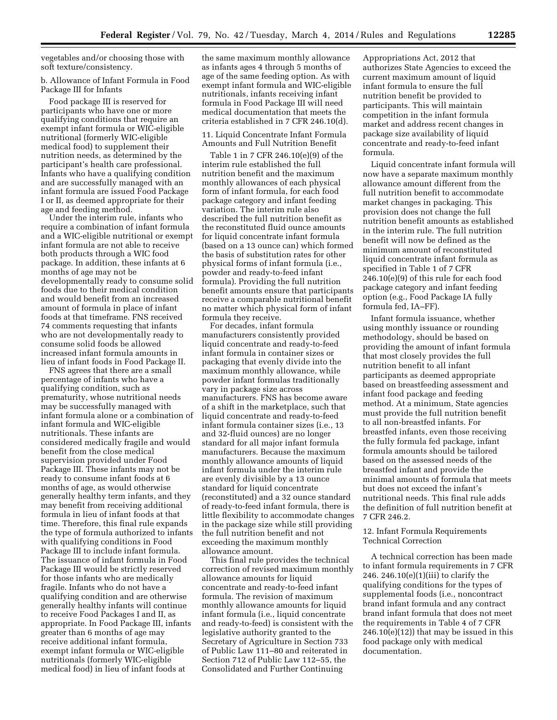vegetables and/or choosing those with soft texture/consistency.

b. Allowance of Infant Formula in Food Package III for Infants

Food package III is reserved for participants who have one or more qualifying conditions that require an exempt infant formula or WIC-eligible nutritional (formerly WIC-eligible medical food) to supplement their nutrition needs, as determined by the participant's health care professional. Infants who have a qualifying condition and are successfully managed with an infant formula are issued Food Package I or II, as deemed appropriate for their age and feeding method.

Under the interim rule, infants who require a combination of infant formula and a WIC-eligible nutritional or exempt infant formula are not able to receive both products through a WIC food package. In addition, these infants at 6 months of age may not be developmentally ready to consume solid foods due to their medical condition and would benefit from an increased amount of formula in place of infant foods at that timeframe. FNS received 74 comments requesting that infants who are not developmentally ready to consume solid foods be allowed increased infant formula amounts in lieu of infant foods in Food Package II.

FNS agrees that there are a small percentage of infants who have a qualifying condition, such as prematurity, whose nutritional needs may be successfully managed with infant formula alone or a combination of infant formula and WIC-eligible nutritionals. These infants are considered medically fragile and would benefit from the close medical supervision provided under Food Package III. These infants may not be ready to consume infant foods at 6 months of age, as would otherwise generally healthy term infants, and they may benefit from receiving additional formula in lieu of infant foods at that time. Therefore, this final rule expands the type of formula authorized to infants with qualifying conditions in Food Package III to include infant formula. The issuance of infant formula in Food Package III would be strictly reserved for those infants who are medically fragile. Infants who do not have a qualifying condition and are otherwise generally healthy infants will continue to receive Food Packages I and II, as appropriate. In Food Package III, infants greater than 6 months of age may receive additional infant formula, exempt infant formula or WIC-eligible nutritionals (formerly WIC-eligible medical food) in lieu of infant foods at

the same maximum monthly allowance as infants ages 4 through 5 months of age of the same feeding option. As with exempt infant formula and WIC-eligible nutritionals, infants receiving infant formula in Food Package III will need medical documentation that meets the criteria established in 7 CFR 246.10(d).

11. Liquid Concentrate Infant Formula Amounts and Full Nutrition Benefit

Table 1 in 7 CFR 246.10(e)(9) of the interim rule established the full nutrition benefit and the maximum monthly allowances of each physical form of infant formula, for each food package category and infant feeding variation. The interim rule also described the full nutrition benefit as the reconstituted fluid ounce amounts for liquid concentrate infant formula (based on a 13 ounce can) which formed the basis of substitution rates for other physical forms of infant formula (i.e., powder and ready-to-feed infant formula). Providing the full nutrition benefit amounts ensure that participants receive a comparable nutritional benefit no matter which physical form of infant formula they receive.

For decades, infant formula manufacturers consistently provided liquid concentrate and ready-to-feed infant formula in container sizes or packaging that evenly divide into the maximum monthly allowance, while powder infant formulas traditionally vary in package size across manufacturers. FNS has become aware of a shift in the marketplace, such that liquid concentrate and ready-to-feed infant formula container sizes (i.e., 13 and 32-fluid ounces) are no longer standard for all major infant formula manufacturers. Because the maximum monthly allowance amounts of liquid infant formula under the interim rule are evenly divisible by a 13 ounce standard for liquid concentrate (reconstituted) and a 32 ounce standard of ready-to-feed infant formula, there is little flexibility to accommodate changes in the package size while still providing the full nutrition benefit and not exceeding the maximum monthly allowance amount.

This final rule provides the technical correction of revised maximum monthly allowance amounts for liquid concentrate and ready-to-feed infant formula. The revision of maximum monthly allowance amounts for liquid infant formula (i.e., liquid concentrate and ready-to-feed) is consistent with the legislative authority granted to the Secretary of Agriculture in Section 733 of Public Law 111–80 and reiterated in Section 712 of Public Law 112–55, the Consolidated and Further Continuing

Appropriations Act, 2012 that authorizes State Agencies to exceed the current maximum amount of liquid infant formula to ensure the full nutrition benefit be provided to participants. This will maintain competition in the infant formula market and address recent changes in package size availability of liquid concentrate and ready-to-feed infant formula.

Liquid concentrate infant formula will now have a separate maximum monthly allowance amount different from the full nutrition benefit to accommodate market changes in packaging. This provision does not change the full nutrition benefit amounts as established in the interim rule. The full nutrition benefit will now be defined as the minimum amount of reconstituted liquid concentrate infant formula as specified in Table 1 of 7 CFR 246.10(e)(9) of this rule for each food package category and infant feeding option (e.g., Food Package IA fully formula fed, IA–FF).

Infant formula issuance, whether using monthly issuance or rounding methodology, should be based on providing the amount of infant formula that most closely provides the full nutrition benefit to all infant participants as deemed appropriate based on breastfeeding assessment and infant food package and feeding method. At a minimum, State agencies must provide the full nutrition benefit to all non-breastfed infants. For breastfed infants, even those receiving the fully formula fed package, infant formula amounts should be tailored based on the assessed needs of the breastfed infant and provide the minimal amounts of formula that meets but does not exceed the infant's nutritional needs. This final rule adds the definition of full nutrition benefit at 7 CFR 246.2.

12. Infant Formula Requirements Technical Correction

A technical correction has been made to infant formula requirements in 7 CFR 246. 246.10 $(e)(1)(iii)$  to clarify the qualifying conditions for the types of supplemental foods (i.e., noncontract brand infant formula and any contract brand infant formula that does not meet the requirements in Table 4 of 7 CFR  $246.10(e)(12)$ ) that may be issued in this food package only with medical documentation.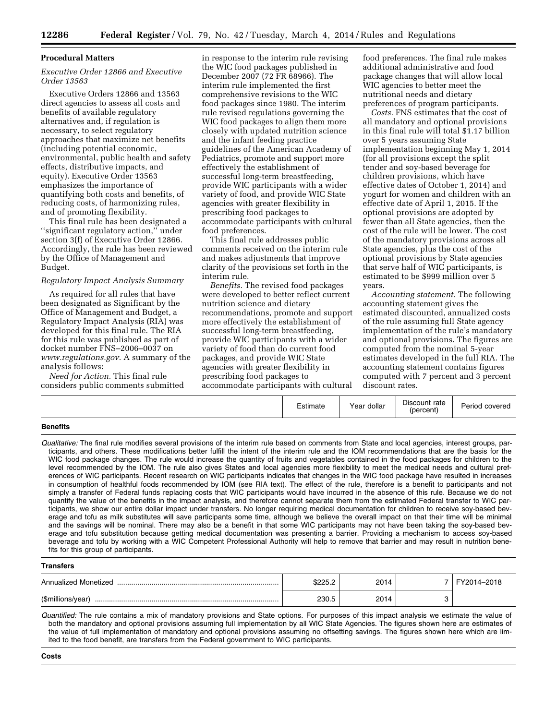#### **Procedural Matters**

#### *Executive Order 12866 and Executive Order 13563*

Executive Orders 12866 and 13563 direct agencies to assess all costs and benefits of available regulatory alternatives and, if regulation is necessary, to select regulatory approaches that maximize net benefits (including potential economic, environmental, public health and safety effects, distributive impacts, and equity). Executive Order 13563 emphasizes the importance of quantifying both costs and benefits, of reducing costs, of harmonizing rules, and of promoting flexibility.

This final rule has been designated a ''significant regulatory action,'' under section 3(f) of Executive Order 12866. Accordingly, the rule has been reviewed by the Office of Management and Budget.

#### *Regulatory Impact Analysis Summary*

As required for all rules that have been designated as Significant by the Office of Management and Budget, a Regulatory Impact Analysis (RIA) was developed for this final rule. The RIA for this rule was published as part of docket number FNS–2006–0037 on *[www.regulations.gov](http://www.regulations.gov)*. A summary of the analysis follows:

*Need for Action.* This final rule considers public comments submitted

in response to the interim rule revising the WIC food packages published in December 2007 (72 FR 68966). The interim rule implemented the first comprehensive revisions to the WIC food packages since 1980. The interim rule revised regulations governing the WIC food packages to align them more closely with updated nutrition science and the infant feeding practice guidelines of the American Academy of Pediatrics, promote and support more effectively the establishment of successful long-term breastfeeding, provide WIC participants with a wider variety of food, and provide WIC State agencies with greater flexibility in prescribing food packages to accommodate participants with cultural food preferences.

This final rule addresses public comments received on the interim rule and makes adjustments that improve clarity of the provisions set forth in the interim rule.

*Benefits.* The revised food packages were developed to better reflect current nutrition science and dietary recommendations, promote and support more effectively the establishment of successful long-term breastfeeding, provide WIC participants with a wider variety of food than do current food packages, and provide WIC State agencies with greater flexibility in prescribing food packages to accommodate participants with cultural

food preferences. The final rule makes additional administrative and food package changes that will allow local WIC agencies to better meet the nutritional needs and dietary preferences of program participants.

*Costs.* FNS estimates that the cost of all mandatory and optional provisions in this final rule will total \$1.17 billion over 5 years assuming State implementation beginning May 1, 2014 (for all provisions except the split tender and soy-based beverage for children provisions, which have effective dates of October 1, 2014) and yogurt for women and children with an effective date of April 1, 2015. If the optional provisions are adopted by fewer than all State agencies, then the cost of the rule will be lower. The cost of the mandatory provisions across all State agencies, plus the cost of the optional provisions by State agencies that serve half of WIC participants, is estimated to be \$999 million over 5 years.

*Accounting statement.* The following accounting statement gives the estimated discounted, annualized costs of the rule assuming full State agency implementation of the rule's mandatory and optional provisions. The figures are computed from the nominal 5-year estimates developed in the full RIA. The accounting statement contains figures computed with 7 percent and 3 percent discount rates.

|                 | Estimate | Year dollar | Discount rate<br>(percent) | Period covered |
|-----------------|----------|-------------|----------------------------|----------------|
| <b>Benefits</b> |          |             |                            |                |

*Qualitative:* The final rule modifies several provisions of the interim rule based on comments from State and local agencies, interest groups, participants, and others. These modifications better fulfill the intent of the interim rule and the IOM recommendations that are the basis for the WIC food package changes. The rule would increase the quantity of fruits and vegetables contained in the food packages for children to the level recommended by the IOM. The rule also gives States and local agencies more flexibility to meet the medical needs and cultural preferences of WIC participants. Recent research on WIC participants indicates that changes in the WIC food package have resulted in increases in consumption of healthful foods recommended by IOM (see RIA text). The effect of the rule, therefore is a benefit to participants and not simply a transfer of Federal funds replacing costs that WIC participants would have incurred in the absence of this rule. Because we do not quantify the value of the benefits in the impact analysis, and therefore cannot separate them from the estimated Federal transfer to WIC participants, we show our entire dollar impact under transfers. No longer requiring medical documentation for children to receive soy-based beverage and tofu as milk substitutes will save participants some time, although we believe the overall impact on that their time will be minimal and the savings will be nominal. There may also be a benefit in that some WIC participants may not have been taking the soy-based beverage and tofu substitution because getting medical documentation was presenting a barrier. Providing a mechanism to access soy-based beverage and tofu by working with a WIC Competent Professional Authority will help to remove that barrier and may result in nutrition benefits for this group of participants.

#### **Transfers**

| Annualized Monetized | ----  | 2014 | 14-2018 |
|----------------------|-------|------|---------|
| (\$millions/year)    | 230.5 | 2014 |         |

*Quantified:* The rule contains a mix of mandatory provisions and State options. For purposes of this impact analysis we estimate the value of both the mandatory and optional provisions assuming full implementation by all WIC State Agencies. The figures shown here are estimates of the value of full implementation of mandatory and optional provisions assuming no offsetting savings. The figures shown here which are limited to the food benefit, are transfers from the Federal government to WIC participants.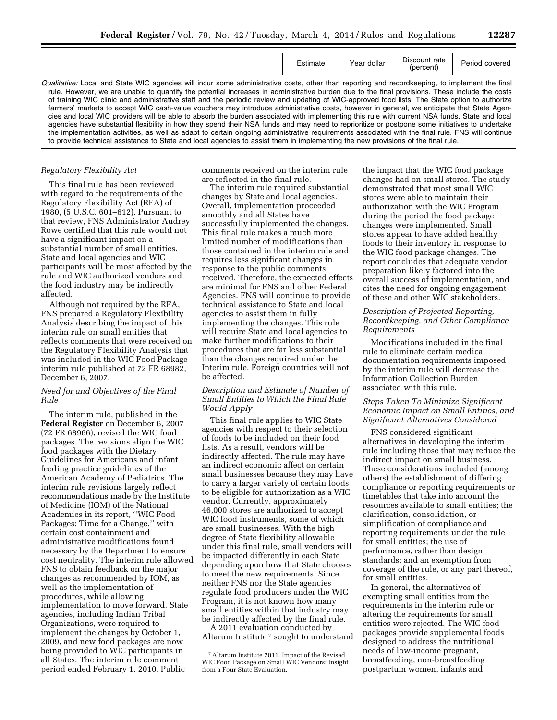|  |  | ◢ |
|--|--|---|
|  |  |   |

|                                                                                                                                                                                                                                                                                                                                                                                                                                                                                                                                                                                                                                                                                                                                                                                                                                                                                                                                                                                                                                                                                                                                                                                            | Estimate | Year dollar | Discount rate<br>(percent) | Period covered |
|--------------------------------------------------------------------------------------------------------------------------------------------------------------------------------------------------------------------------------------------------------------------------------------------------------------------------------------------------------------------------------------------------------------------------------------------------------------------------------------------------------------------------------------------------------------------------------------------------------------------------------------------------------------------------------------------------------------------------------------------------------------------------------------------------------------------------------------------------------------------------------------------------------------------------------------------------------------------------------------------------------------------------------------------------------------------------------------------------------------------------------------------------------------------------------------------|----------|-------------|----------------------------|----------------|
| Qualitative: Local and State WIC agencies will incur some administrative costs, other than reporting and recordkeeping, to implement the final<br>rule. However, we are unable to quantify the potential increases in administrative burden due to the final provisions. These include the costs<br>of training WIC clinic and administrative staff and the periodic review and updating of WIC-approved food lists. The State option to authorize<br>farmers' markets to accept WIC cash-value vouchers may introduce administrative costs, however in general, we anticipate that State Agen-<br>cies and local WIC providers will be able to absorb the burden associated with implementing this rule with current NSA funds. State and local<br>agencies have substantial flexibility in how they spend their NSA funds and may need to reprioritize or postpone some initiatives to undertake<br>the implementation activities, as well as adapt to certain ongoing administrative requirements associated with the final rule. FNS will continue<br>to provide technical assistance to State and local agencies to assist them in implementing the new provisions of the final rule. |          |             |                            |                |

#### *Regulatory Flexibility Act*

This final rule has been reviewed with regard to the requirements of the Regulatory Flexibility Act (RFA) of 1980, (5 U.S.C. 601–612). Pursuant to that review, FNS Administrator Audrey Rowe certified that this rule would not have a significant impact on a substantial number of small entities. State and local agencies and WIC participants will be most affected by the rule and WIC authorized vendors and the food industry may be indirectly affected.

Although not required by the RFA, FNS prepared a Regulatory Flexibility Analysis describing the impact of this interim rule on small entities that reflects comments that were received on the Regulatory Flexibility Analysis that was included in the WIC Food Package interim rule published at 72 FR 68982, December 6, 2007.

#### *Need for and Objectives of the Final Rule*

The interim rule, published in the **Federal Register** on December 6, 2007 (72 FR 68966), revised the WIC food packages. The revisions align the WIC food packages with the Dietary Guidelines for Americans and infant feeding practice guidelines of the American Academy of Pediatrics. The interim rule revisions largely reflect recommendations made by the Institute of Medicine (IOM) of the National Academies in its report, ''WIC Food Packages: Time for a Change,'' with certain cost containment and administrative modifications found necessary by the Department to ensure cost neutrality. The interim rule allowed FNS to obtain feedback on the major changes as recommended by IOM, as well as the implementation of procedures, while allowing implementation to move forward. State agencies, including Indian Tribal Organizations, were required to implement the changes by October 1, 2009, and new food packages are now being provided to WIC participants in all States. The interim rule comment period ended February 1, 2010. Public

comments received on the interim rule are reflected in the final rule.

The interim rule required substantial changes by State and local agencies. Overall, implementation proceeded smoothly and all States have successfully implemented the changes. This final rule makes a much more limited number of modifications than those contained in the interim rule and requires less significant changes in response to the public comments received. Therefore, the expected effects are minimal for FNS and other Federal Agencies. FNS will continue to provide technical assistance to State and local agencies to assist them in fully implementing the changes. This rule will require State and local agencies to make further modifications to their procedures that are far less substantial than the changes required under the Interim rule. Foreign countries will not be affected.

#### *Description and Estimate of Number of Small Entities to Which the Final Rule Would Apply*

This final rule applies to WIC State agencies with respect to their selection of foods to be included on their food lists. As a result, vendors will be indirectly affected. The rule may have an indirect economic affect on certain small businesses because they may have to carry a larger variety of certain foods to be eligible for authorization as a WIC vendor. Currently, approximately 46,000 stores are authorized to accept WIC food instruments, some of which are small businesses. With the high degree of State flexibility allowable under this final rule, small vendors will be impacted differently in each State depending upon how that State chooses to meet the new requirements. Since neither FNS nor the State agencies regulate food producers under the WIC Program, it is not known how many small entities within that industry may be indirectly affected by the final rule.

A 2011 evaluation conducted by Altarum Institute 7 sought to understand

the impact that the WIC food package changes had on small stores. The study demonstrated that most small WIC stores were able to maintain their authorization with the WIC Program during the period the food package changes were implemented. Small stores appear to have added healthy foods to their inventory in response to the WIC food package changes. The report concludes that adequate vendor preparation likely factored into the overall success of implementation, and cites the need for ongoing engagement of these and other WIC stakeholders.

#### *Description of Projected Reporting, Recordkeeping, and Other Compliance Requirements*

Modifications included in the final rule to eliminate certain medical documentation requirements imposed by the interim rule will decrease the Information Collection Burden associated with this rule.

#### *Steps Taken To Minimize Significant Economic Impact on Small Entities, and Significant Alternatives Considered*

FNS considered significant alternatives in developing the interim rule including those that may reduce the indirect impact on small business. These considerations included (among others) the establishment of differing compliance or reporting requirements or timetables that take into account the resources available to small entities; the clarification, consolidation, or simplification of compliance and reporting requirements under the rule for small entities; the use of performance, rather than design, standards; and an exemption from coverage of the rule, or any part thereof, for small entities.

In general, the alternatives of exempting small entities from the requirements in the interim rule or altering the requirements for small entities were rejected. The WIC food packages provide supplemental foods designed to address the nutritional needs of low-income pregnant, breastfeeding, non-breastfeeding postpartum women, infants and

<sup>7</sup>Altarum Institute 2011. Impact of the Revised WIC Food Package on Small WIC Vendors: Insight from a Four State Evaluation.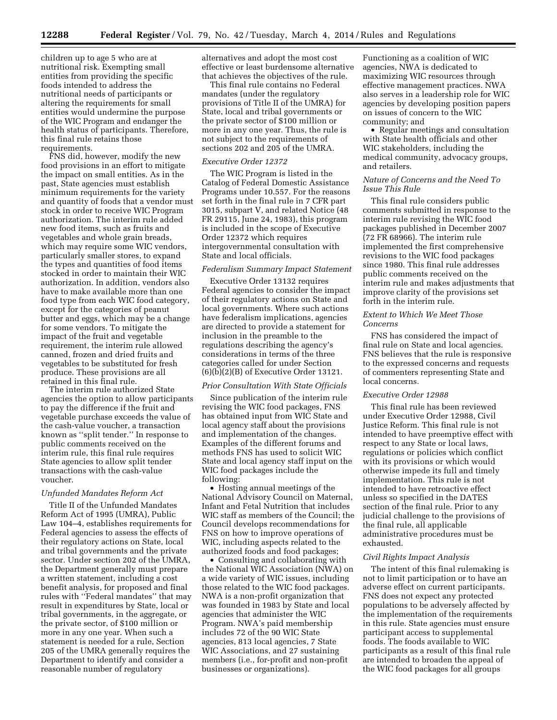children up to age 5 who are at nutritional risk. Exempting small entities from providing the specific foods intended to address the nutritional needs of participants or altering the requirements for small entities would undermine the purpose of the WIC Program and endanger the health status of participants. Therefore, this final rule retains those requirements.

FNS did, however, modify the new food provisions in an effort to mitigate the impact on small entities. As in the past, State agencies must establish minimum requirements for the variety and quantity of foods that a vendor must stock in order to receive WIC Program authorization. The interim rule added new food items, such as fruits and vegetables and whole grain breads, which may require some WIC vendors, particularly smaller stores, to expand the types and quantities of food items stocked in order to maintain their WIC authorization. In addition, vendors also have to make available more than one food type from each WIC food category, except for the categories of peanut butter and eggs, which may be a change for some vendors. To mitigate the impact of the fruit and vegetable requirement, the interim rule allowed canned, frozen and dried fruits and vegetables to be substituted for fresh produce. These provisions are all retained in this final rule.

The interim rule authorized State agencies the option to allow participants to pay the difference if the fruit and vegetable purchase exceeds the value of the cash-value voucher, a transaction known as ''split tender.'' In response to public comments received on the interim rule, this final rule requires State agencies to allow split tender transactions with the cash-value voucher.

#### *Unfunded Mandates Reform Act*

Title II of the Unfunded Mandates Reform Act of 1995 (UMRA), Public Law 104–4, establishes requirements for Federal agencies to assess the effects of their regulatory actions on State, local and tribal governments and the private sector. Under section 202 of the UMRA, the Department generally must prepare a written statement, including a cost benefit analysis, for proposed and final rules with ''Federal mandates'' that may result in expenditures by State, local or tribal governments, in the aggregate, or the private sector, of \$100 million or more in any one year. When such a statement is needed for a rule, Section 205 of the UMRA generally requires the Department to identify and consider a reasonable number of regulatory

alternatives and adopt the most cost effective or least burdensome alternative that achieves the objectives of the rule.

This final rule contains no Federal mandates (under the regulatory provisions of Title II of the UMRA) for State, local and tribal governments or the private sector of \$100 million or more in any one year. Thus, the rule is not subject to the requirements of sections 202 and 205 of the UMRA.

#### *Executive Order 12372*

The WIC Program is listed in the Catalog of Federal Domestic Assistance Programs under 10.557. For the reasons set forth in the final rule in 7 CFR part 3015, subpart V, and related Notice (48 FR 29115, June 24, 1983), this program is included in the scope of Executive Order 12372 which requires intergovernmental consultation with State and local officials.

#### *Federalism Summary Impact Statement*

Executive Order 13132 requires Federal agencies to consider the impact of their regulatory actions on State and local governments. Where such actions have federalism implications, agencies are directed to provide a statement for inclusion in the preamble to the regulations describing the agency's considerations in terms of the three categories called for under Section (6)(b)(2)(B) of Executive Order 13121.

#### *Prior Consultation With State Officials*

Since publication of the interim rule revising the WIC food packages, FNS has obtained input from WIC State and local agency staff about the provisions and implementation of the changes. Examples of the different forums and methods FNS has used to solicit WIC State and local agency staff input on the WIC food packages include the following:

• Hosting annual meetings of the National Advisory Council on Maternal, Infant and Fetal Nutrition that includes WIC staff as members of the Council; the Council develops recommendations for FNS on how to improve operations of WIC, including aspects related to the authorized foods and food packages;

• Consulting and collaborating with the National WIC Association (NWA) on a wide variety of WIC issues, including those related to the WIC food packages. NWA is a non-profit organization that was founded in 1983 by State and local agencies that administer the WIC Program. NWA's paid membership includes 72 of the 90 WIC State agencies, 813 local agencies, 7 State WIC Associations, and 27 sustaining members (i.e., for-profit and non-profit businesses or organizations).

Functioning as a coalition of WIC agencies, NWA is dedicated to maximizing WIC resources through effective management practices. NWA also serves in a leadership role for WIC agencies by developing position papers on issues of concern to the WIC community; and

• Regular meetings and consultation with State health officials and other WIC stakeholders, including the medical community, advocacy groups, and retailers.

#### *Nature of Concerns and the Need To Issue This Rule*

This final rule considers public comments submitted in response to the interim rule revising the WIC food packages published in December 2007 (72 FR 68966). The interim rule implemented the first comprehensive revisions to the WIC food packages since 1980. This final rule addresses public comments received on the interim rule and makes adjustments that improve clarity of the provisions set forth in the interim rule.

#### *Extent to Which We Meet Those Concerns*

FNS has considered the impact of final rule on State and local agencies. FNS believes that the rule is responsive to the expressed concerns and requests of commenters representing State and local concerns.

#### *Executive Order 12988*

This final rule has been reviewed under Executive Order 12988, Civil Justice Reform. This final rule is not intended to have preemptive effect with respect to any State or local laws, regulations or policies which conflict with its provisions or which would otherwise impede its full and timely implementation. This rule is not intended to have retroactive effect unless so specified in the DATES section of the final rule. Prior to any judicial challenge to the provisions of the final rule, all applicable administrative procedures must be exhausted.

#### *Civil Rights Impact Analysis*

The intent of this final rulemaking is not to limit participation or to have an adverse effect on current participants. FNS does not expect any protected populations to be adversely affected by the implementation of the requirements in this rule. State agencies must ensure participant access to supplemental foods. The foods available to WIC participants as a result of this final rule are intended to broaden the appeal of the WIC food packages for all groups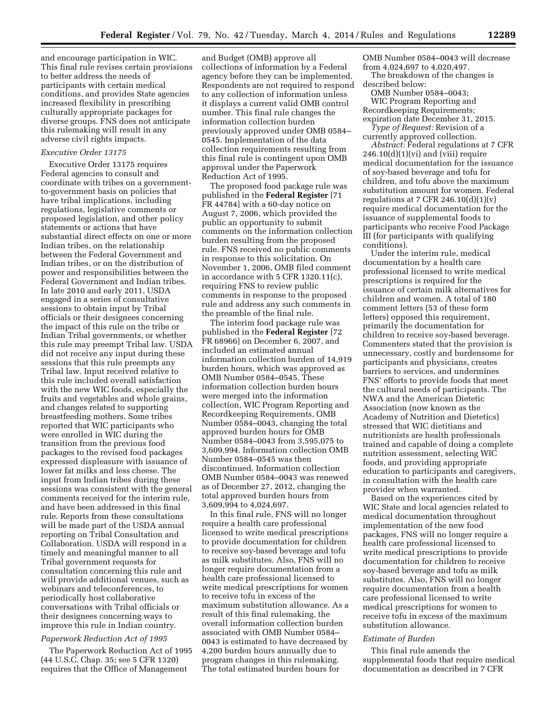and encourage participation in WIC. This final rule revises certain provisions to better address the needs of participants with certain medical conditions, and provides State agencies increased flexibility in prescribing culturally appropriate packages for diverse groups. FNS does not anticipate this rulemaking will result in any adverse civil rights impacts.

#### *Executive Order 13175*

Executive Order 13175 requires Federal agencies to consult and coordinate with tribes on a governmentto-government basis on policies that have tribal implications, including regulations, legislative comments or proposed legislation, and other policy statements or actions that have substantial direct effects on one or more Indian tribes, on the relationship between the Federal Government and Indian tribes, or on the distribution of power and responsibilities between the Federal Government and Indian tribes. In late 2010 and early 2011, USDA engaged in a series of consultative sessions to obtain input by Tribal officials or their designees concerning the impact of this rule on the tribe or Indian Tribal governments, or whether this rule may preempt Tribal law. USDA did not receive any input during these sessions that this rule preempts any Tribal law. Input received relative to this rule included overall satisfaction with the new WIC foods, especially the fruits and vegetables and whole grains, and changes related to supporting breastfeeding mothers. Some tribes reported that WIC participants who were enrolled in WIC during the transition from the previous food packages to the revised food packages expressed displeasure with issuance of lower fat milks and less cheese. The input from Indian tribes during these sessions was consistent with the general comments received for the interim rule, and have been addressed in this final rule. Reports from these consultations will be made part of the USDA annual reporting on Tribal Consultation and Collaboration. USDA will respond in a timely and meaningful manner to all Tribal government requests for consultation concerning this rule and will provide additional venues, such as webinars and teleconferences, to periodically host collaborative conversations with Tribal officials or their designees concerning ways to improve this rule in Indian country.

#### *Paperwork Reduction Act of 1995*

The Paperwork Reduction Act of 1995 (44 U.S.C. Chap. 35; see 5 CFR 1320) requires that the Office of Management

and Budget (OMB) approve all collections of information by a Federal agency before they can be implemented. Respondents are not required to respond to any collection of information unless it displays a current valid OMB control number. This final rule changes the information collection burden previously approved under OMB 0584– 0545. Implementation of the data collection requirements resulting from this final rule is contingent upon OMB approval under the Paperwork Reduction Act of 1995.

The proposed food package rule was published in the **Federal Register** [71 FR 44784] with a 60-day notice on August 7, 2006, which provided the public an opportunity to submit comments on the information collection burden resulting from the proposed rule. FNS received no public comments in response to this solicitation. On November 1, 2006, OMB filed comment in accordance with 5 CFR 1320.11(c), requiring FNS to review public comments in response to the proposed rule and address any such comments in the preamble of the final rule.

The interim food package rule was published in the **Federal Register** [72 FR 68966] on December 6, 2007, and included an estimated annual information collection burden of 14,919 burden hours, which was approved as OMB Number 0584–0545. These information collection burden hours were merged into the information collection, WIC Program Reporting and Recordkeeping Requirements, OMB Number 0584–0043, changing the total approved burden hours for OMB Number 0584–0043 from 3,595,075 to 3,609,994. Information collection OMB Number 0584–0545 was then discontinued. Information collection OMB Number 0584–0043 was renewed as of December 27, 2012, changing the total approved burden hours from 3,609,994 to 4,024,697.

In this final rule, FNS will no longer require a health care professional licensed to write medical prescriptions to provide documentation for children to receive soy-based beverage and tofu as milk substitutes. Also, FNS will no longer require documentation from a health care professional licensed to write medical prescriptions for women to receive tofu in excess of the maximum substitution allowance. As a result of this final rulemaking, the overall information collection burden associated with OMB Number 0584– 0043 is estimated to have decreased by 4,200 burden hours annually due to program changes in this rulemaking. The total estimated burden hours for

OMB Number 0584–0043 will decrease from 4,024,697 to 4,020,497.

The breakdown of the changes is described below:

OMB Number 0584–0043; WIC Program Reporting and Recordkeeping Requirements; expiration date December 31, 2015.

*Type of Request:* Revision of a currently approved collection.

*Abstract:* Federal regulations at 7 CFR  $246.10(d)(1)(vi)$  and (viii) require medical documentation for the issuance of soy-based beverage and tofu for children, and tofu above the maximum substitution amount for women. Federal regulations at 7 CFR 246.10 $(d)(1)(v)$ require medical documentation for the issuance of supplemental foods to participants who receive Food Package III (for participants with qualifying conditions).

Under the interim rule, medical documentation by a health care professional licensed to write medical prescriptions is required for the issuance of certain milk alternatives for children and women. A total of 180 comment letters (53 of these form letters) opposed this requirement, primarily the documentation for children to receive soy-based beverage. Commenters stated that the provision is unnecessary, costly and burdensome for participants and physicians, creates barriers to services, and undermines FNS' efforts to provide foods that meet the cultural needs of participants. The NWA and the American Dietetic Association (now known as the Academy of Nutrition and Dietetics) stressed that WIC dietitians and nutritionists are health professionals trained and capable of doing a complete nutrition assessment, selecting WIC foods, and providing appropriate education to participants and caregivers, in consultation with the health care provider when warranted.

Based on the experiences cited by WIC State and local agencies related to medical documentation throughout implementation of the new food packages, FNS will no longer require a health care professional licensed to write medical prescriptions to provide documentation for children to receive soy-based beverage and tofu as milk substitutes. Also, FNS will no longer require documentation from a health care professional licensed to write medical prescriptions for women to receive tofu in excess of the maximum substitution allowance.

#### *Estimate of Burden*

This final rule amends the supplemental foods that require medical documentation as described in 7 CFR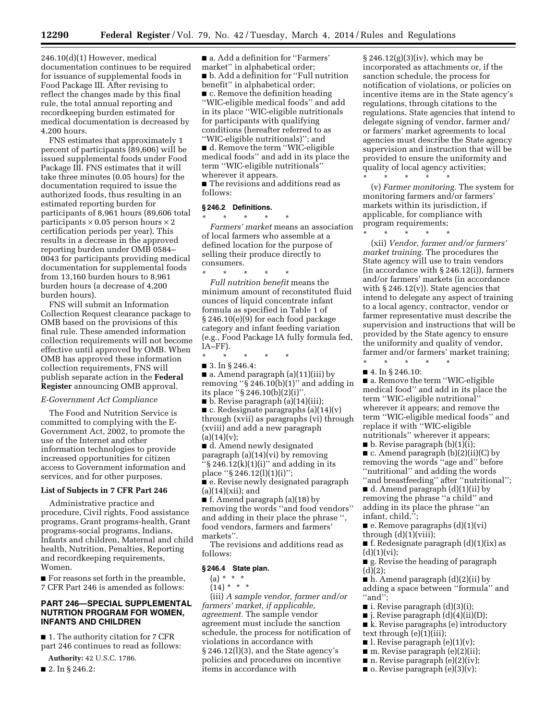246.10(d)(1) However, medical documentation continues to be required for issuance of supplemental foods in Food Package III. After revising to reflect the changes made by this final rule, the total annual reporting and recordkeeping burden estimated for medical documentation is decreased by 4,200 hours.

FNS estimates that approximately 1 percent of participants (89,606) will be issued supplemental foods under Food Package III. FNS estimates that it will take three minutes (0.05 hours) for the documentation required to issue the authorized foods, thus resulting in an estimated reporting burden for participants of 8,961 hours (89,606 total participants  $\times$  0.05 person hours  $\times$  2 certification periods per year). This results in a decrease in the approved reporting burden under OMB 0584– 0043 for participants providing medical documentation for supplemental foods from 13,160 burden hours to 8,961 burden hours (a decrease of 4,200 burden hours).

FNS will submit an Information Collection Request clearance package to OMB based on the provisions of this final rule. These amended information collection requirements will not become effective until approved by OMB. When OMB has approved these information collection requirements, FNS will publish separate action in the **Federal Register** announcing OMB approval.

#### *E-Government Act Compliance*

The Food and Nutrition Service is committed to complying with the E-Government Act, 2002, to promote the use of the Internet and other information technologies to provide increased opportunities for citizen access to Government information and services, and for other purposes.

#### **List of Subjects in 7 CFR Part 246**

Administrative practice and procedure, Civil rights, Food assistance programs, Grant programs-health, Grant programs-social programs, Indians, Infants and children, Maternal and child health, Nutrition, Penalties, Reporting and recordkeeping requirements, Women.

■ For reasons set forth in the preamble, 7 CFR Part 246 is amended as follows:

#### **PART 246—SPECIAL SUPPLEMENTAL NUTRTION PROGRAM FOR WOMEN, INFANTS AND CHILDREN**

■ 1. The authority citation for 7 CFR part 246 continues to read as follows:

**Authority:** 42 U.S.C. 1786.

■ 2. In § 246.2:

■ a. Add a definition for "Farmers" market'' in alphabetical order; ■ b. Add a definition for "Full nutrition benefit'' in alphabetical order; ■ c. Remove the definition heading ''WIC-eligible medical foods'' and add in its place ''WIC-eligible nutritionals for participants with qualifying conditions (hereafter referred to as ''WIC-eligible nutritionals)''; and

■ d. Remove the term "WIC-eligible medical foods'' and add in its place the term ''WIC-eligible nutritionals'' wherever it appears.

■ The revisions and additions read as follows:

#### **§ 246.2 Definitions.**

\* \* \* \* \*

*Farmers' market* means an association of local farmers who assemble at a defined location for the purpose of selling their produce directly to consumers. \* \* \* \* \*

*Full nutrition benefit* means the minimum amount of reconstituted fluid ounces of liquid concentrate infant formula as specified in Table 1 of § 246.10(e)(9) for each food package category and infant feeding variation (e.g., Food Package IA fully formula fed,  $IA-FF$ ).

\* \* \* \* \*

■ 3. In § 246.4:

■ a. Amend paragraph (a)(11)(iii) by removing " $\hat{S}$ 246.10(b)(1)" and adding in its place " $\S$  246.10(b)(2)(i)".

■ b. Revise paragraph (a)(14)(iii);  $\blacksquare$  c. Redesignate paragraphs (a)(14)(v) through (xvii) as paragraphs (vi) through (xviii) and add a new paragraph  $(a)(14)(v)$ :

■ d. Amend newly designated paragraph (a)(14)(vi) by removing  $``\$  246.12(k)(1)(i)" and adding in its place " $\S 246.12(l)(1)(i)$ ";

■ e. Revise newly designated paragraph  $(a)(14)(xii);$  and

■ f. Amend paragraph (a)(18) by removing the words ''and food vendors'' and adding in their place the phrase '', food vendors, farmers and farmers' markets''.

The revisions and additions read as follows:

#### **§ 246.4 State plan.**

 $(a) * * * *$ 

 $(14) * * * *$ 

(iii) *A sample vendor, farmer and/or farmers' market, if applicable, agreement.* The sample vendor agreement must include the sanction schedule, the process for notification of violations in accordance with § 246.12(l)(3), and the State agency's policies and procedures on incentive items in accordance with

§ 246.12(g)(3)(iv), which may be incorporated as attachments or, if the sanction schedule, the process for notification of violations, or policies on incentive items are in the State agency's regulations, through citations to the regulations. State agencies that intend to delegate signing of vendor, farmer and/ or farmers' market agreements to local agencies must describe the State agency supervision and instruction that will be provided to ensure the uniformity and quality of local agency activities;

\* \* \* \* \* (v) *Farmer monitoring.* The system for monitoring farmers and/or farmers' markets within its jurisdiction, if applicable, for compliance with program requirements; \* \* \* \* \*

(xii) *Vendor, farmer and/or farmers' market training.* The procedures the State agency will use to train vendors (in accordance with § 246.12(i)), farmers and/or farmers' markets (in accordance with  $\S 246.12(v)$ ). State agencies that intend to delegate any aspect of training to a local agency, contractor, vendor or farmer representative must describe the supervision and instructions that will be provided by the State agency to ensure the uniformity and quality of vendor, farmer and/or farmers' market training;

\* \* \* \* \* ■ 4. In § 246.10:

■ a. Remove the term "WIC-eligible medical food'' and add in its place the term ''WIC-eligible nutritional'' wherever it appears; and remove the term ''WIC-eligible medical foods'' and replace it with ''WIC-eligible nutritionals'' wherever it appears;

 $\blacksquare$  b. Revise paragraph (b)(1)(i);

 $\blacksquare$  c. Amend paragraph (b)(2)(ii)(C) by removing the words ''age and'' before ''nutritional'' and adding the words

''and breastfeeding'' after ''nutritional''; ■ d. Amend paragraph (d)(1)(ii) by removing the phrase ''a child'' and adding in its place the phrase ''an infant, child,'';

■ e. Remove paragraphs (d)(1)(vi)

through  $(d)(1)(viii)$ ;

■ f. Redesignate paragraph  $(d)(1)(ix)$  as  $(d)(1)(vi);$ 

■ g. Revise the heading of paragraph  $(d)(2);$ 

■ h. Amend paragraph (d)(2)(ii) by adding a space between ''formula'' and ''and'';

- $\blacksquare$  i. Revise paragraph  $(d)(3)(i);$
- j. Revise paragraph (d)(4)(ii)(D);

■ k. Revise paragraphs (e) introductory text through (e)(1)(iii);

- l. Revise paragraph  $(e)(1)(v)$ ;
- $\blacksquare$  m. Revise paragraph (e)(2)(ii);
- $\blacksquare$  n. Revise paragraph (e)(2)(iv);
- $\blacksquare$  o. Revise paragraph (e)(3)(v);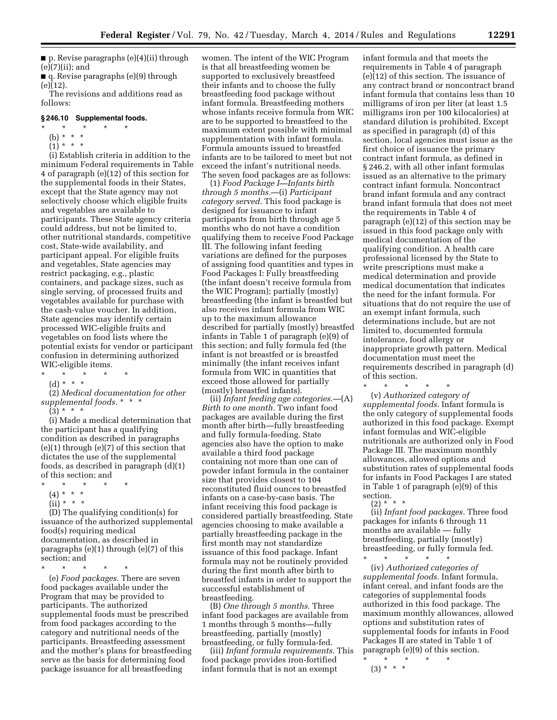$\blacksquare$  p. Revise paragraphs (e)(4)(ii) through (e)(7)(ii); and

■ q. Revise paragraphs (e)(9) through (e)(12).

The revisions and additions read as follows:

#### **§ 246.10 Supplemental foods.**

- $\star$   $\star$   $\star$
- (b) \* \* \*
- $(1)^{\ast}$  \* \*

(i) Establish criteria in addition to the minimum Federal requirements in Table 4 of paragraph (e)(12) of this section for the supplemental foods in their States, except that the State agency may not selectively choose which eligible fruits and vegetables are available to participants. These State agency criteria could address, but not be limited to, other nutritional standards, competitive cost, State-wide availability, and participant appeal. For eligible fruits and vegetables, State agencies may restrict packaging, e.g., plastic containers, and package sizes, such as single serving, of processed fruits and vegetables available for purchase with the cash-value voucher. In addition, State agencies may identify certain processed WIC-eligible fruits and vegetables on food lists where the potential exists for vendor or participant confusion in determining authorized WIC-eligible items.

- \* \* \* \* \*
- (d) \* \* \*

(2) *Medical documentation for other supplemental foods.* \* \* \*  $(3) * * * *$ 

(i) Made a medical determination that the participant has a qualifying condition as described in paragraphs (e)(1) through (e)(7) of this section that dictates the use of the supplemental foods, as described in paragraph (d)(1) of this section; and

- \* \* \* \* \*
	- (4) \* \* \* \*
	- $(ii) * * * *$

(D) The qualifying condition(s) for issuance of the authorized supplemental food(s) requiring medical documentation, as described in paragraphs (e)(1) through (e)(7) of this section; and

\* \* \* \* \* (e) *Food packages.* There are seven food packages available under the Program that may be provided to participants. The authorized supplemental foods must be prescribed from food packages according to the category and nutritional needs of the participants. Breastfeeding assessment and the mother's plans for breastfeeding serve as the basis for determining food package issuance for all breastfeeding

women. The intent of the WIC Program is that all breastfeeding women be supported to exclusively breastfeed their infants and to choose the fully breastfeeding food package without infant formula. Breastfeeding mothers whose infants receive formula from WIC are to be supported to breastfeed to the maximum extent possible with minimal supplementation with infant formula. Formula amounts issued to breastfed infants are to be tailored to meet but not exceed the infant's nutritional needs. The seven food packages are as follows:

(1) *Food Package I—Infants birth through 5 months.*—(i) *Participant category served.* This food package is designed for issuance to infant participants from birth through age 5 months who do not have a condition qualifying them to receive Food Package III. The following infant feeding variations are defined for the purposes of assigning food quantities and types in Food Packages I: Fully breastfeeding (the infant doesn't receive formula from the WIC Program); partially (mostly) breastfeeding (the infant is breastfed but also receives infant formula from WIC up to the maximum allowance described for partially (mostly) breastfed infants in Table 1 of paragraph (e)(9) of this section; and fully formula fed (the infant is not breastfed or is breastfed minimally (the infant receives infant formula from WIC in quantities that exceed those allowed for partially (mostly) breastfed infants).

(ii) *Infant feeding age categories.*—(A) *Birth to one month.* Two infant food packages are available during the first month after birth—fully breastfeeding and fully formula-feeding. State agencies also have the option to make available a third food package containing not more than one can of powder infant formula in the container size that provides closest to 104 reconstituted fluid ounces to breastfed infants on a case-by-case basis. The infant receiving this food package is considered partially breastfeeding. State agencies choosing to make available a partially breastfeeding package in the first month may not standardize issuance of this food package. Infant formula may not be routinely provided during the first month after birth to breastfed infants in order to support the successful establishment of breastfeeding.

(B) *One through 5 months.* Three infant food packages are available from 1 months through 5 months—fully breastfeeding, partially (mostly) breastfeeding, or fully formula-fed.

(iii) *Infant formula requirements.* This food package provides iron-fortified infant formula that is not an exempt

infant formula and that meets the requirements in Table 4 of paragraph (e)(12) of this section. The issuance of any contract brand or noncontract brand infant formula that contains less than 10 milligrams of iron per liter (at least 1.5 milligrams iron per 100 kilocalories) at standard dilution is prohibited. Except as specified in paragraph (d) of this section, local agencies must issue as the first choice of issuance the primary contract infant formula, as defined in § 246.2, with all other infant formulas issued as an alternative to the primary contract infant formula. Noncontract brand infant formula and any contract brand infant formula that does not meet the requirements in Table 4 of paragraph (e)(12) of this section may be issued in this food package only with medical documentation of the qualifying condition. A health care professional licensed by the State to write prescriptions must make a medical determination and provide medical documentation that indicates the need for the infant formula. For situations that do not require the use of an exempt infant formula, such determinations include, but are not limited to, documented formula intolerance, food allergy or inappropriate growth pattern. Medical documentation must meet the requirements described in paragraph (d) of this section.

\* \* \* \* \* (v) *Authorized category of supplemental foods.* Infant formula is the only category of supplemental foods authorized in this food package. Exempt infant formulas and WIC-eligible nutritionals are authorized only in Food Package III. The maximum monthly allowances, allowed options and substitution rates of supplemental foods for infants in Food Packages I are stated in Table 1 of paragraph (e)(9) of this section.

(2) \* \* \* (ii) *Infant food packages.* Three food packages for infants 6 through 11 months are available — fully breastfeeding, partially (mostly) breastfeeding, or fully formula fed.

\* \* \* \* \*

(iv) *Authorized categories of supplemental foods.* Infant formula, infant cereal, and infant foods are the categories of supplemental foods authorized in this food package. The maximum monthly allowances, allowed options and substitution rates of supplemental foods for infants in Food Packages II are stated in Table 1 of paragraph (e)(9) of this section.

<sup>\* \* \* \* \*</sup>  (3) \* \* \*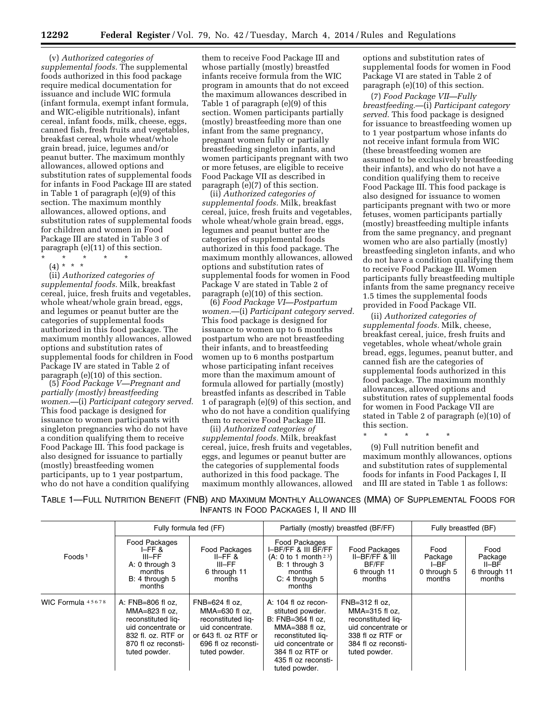(v) *Authorized categories of supplemental foods.* The supplemental foods authorized in this food package require medical documentation for issuance and include WIC formula (infant formula, exempt infant formula, and WIC-eligible nutritionals), infant cereal, infant foods, milk, cheese, eggs, canned fish, fresh fruits and vegetables, breakfast cereal, whole wheat/whole grain bread, juice, legumes and/or peanut butter. The maximum monthly allowances, allowed options and substitution rates of supplemental foods for infants in Food Package III are stated in Table 1 of paragraph (e)(9) of this section. The maximum monthly allowances, allowed options, and substitution rates of supplemental foods for children and women in Food Package III are stated in Table 3 of paragraph (e)(11) of this section.

\* \* \* \* \* (4) \* \* \*

(ii) *Authorized categories of supplemental foods.* Milk, breakfast cereal, juice, fresh fruits and vegetables, whole wheat/whole grain bread, eggs, and legumes or peanut butter are the categories of supplemental foods authorized in this food package. The maximum monthly allowances, allowed options and substitution rates of supplemental foods for children in Food Package IV are stated in Table 2 of paragraph (e)(10) of this section.

(5) *Food Package V—Pregnant and partially (mostly) breastfeeding women.—*(i) *Participant category served.*  This food package is designed for issuance to women participants with singleton pregnancies who do not have a condition qualifying them to receive Food Package III. This food package is also designed for issuance to partially (mostly) breastfeeding women participants, up to 1 year postpartum, who do not have a condition qualifying

them to receive Food Package III and whose partially (mostly) breastfed infants receive formula from the WIC program in amounts that do not exceed the maximum allowances described in Table 1 of paragraph (e)(9) of this section. Women participants partially (mostly) breastfeeding more than one infant from the same pregnancy, pregnant women fully or partially breastfeeding singleton infants, and women participants pregnant with two or more fetuses, are eligible to receive Food Package VII as described in paragraph (e)(7) of this section.

(ii) *Authorized categories of supplemental foods.* Milk, breakfast cereal, juice, fresh fruits and vegetables, whole wheat/whole grain bread, eggs, legumes and peanut butter are the categories of supplemental foods authorized in this food package. The maximum monthly allowances, allowed options and substitution rates of supplemental foods for women in Food Package V are stated in Table 2 of paragraph (e)(10) of this section.

(6) *Food Package VI—Postpartum women.*—(i) *Participant category served.*  This food package is designed for issuance to women up to 6 months postpartum who are not breastfeeding their infants, and to breastfeeding women up to 6 months postpartum whose participating infant receives more than the maximum amount of formula allowed for partially (mostly) breastfed infants as described in Table 1 of paragraph (e)(9) of this section, and who do not have a condition qualifying them to receive Food Package III.

(ii) *Authorized categories of supplemental foods.* Milk, breakfast cereal, juice, fresh fruits and vegetables, eggs, and legumes or peanut butter are the categories of supplemental foods authorized in this food package. The maximum monthly allowances, allowed

options and substitution rates of supplemental foods for women in Food Package VI are stated in Table 2 of paragraph (e)(10) of this section.

(7) *Food Package VII—Fully breastfeeding.*—(i) *Participant category served.* This food package is designed for issuance to breastfeeding women up to 1 year postpartum whose infants do not receive infant formula from WIC (these breastfeeding women are assumed to be exclusively breastfeeding their infants), and who do not have a condition qualifying them to receive Food Package III. This food package is also designed for issuance to women participants pregnant with two or more fetuses, women participants partially (mostly) breastfeeding multiple infants from the same pregnancy, and pregnant women who are also partially (mostly) breastfeeding singleton infants, and who do not have a condition qualifying them to receive Food Package III. Women participants fully breastfeeding multiple infants from the same pregnancy receive 1.5 times the supplemental foods provided in Food Package VII.

(ii) *Authorized categories of supplemental foods.* Milk, cheese, breakfast cereal, juice, fresh fruits and vegetables, whole wheat/whole grain bread, eggs, legumes, peanut butter, and canned fish are the categories of supplemental foods authorized in this food package. The maximum monthly allowances, allowed options and substitution rates of supplemental foods for women in Food Package VII are stated in Table 2 of paragraph (e)(10) of this section.

\* \* \* \* \*

(9) Full nutrition benefit and maximum monthly allowances, options and substitution rates of supplemental foods for infants in Food Packages I, II and III are stated in Table 1 as follows:

TABLE 1—FULL NUTRITION BENEFIT (FNB) AND MAXIMUM MONTHLY ALLOWANCES (MMA) OF SUPPLEMENTAL FOODS FOR INFANTS IN FOOD PACKAGES I, II AND III

|                    | Fully formula fed (FF)                                                                                                                          |                                                                                                                                                  | Partially (mostly) breastfed (BF/FF)                                                                                                                                                     |                                                                                                                                                | Fully breastfed (BF)                             |                                                    |
|--------------------|-------------------------------------------------------------------------------------------------------------------------------------------------|--------------------------------------------------------------------------------------------------------------------------------------------------|------------------------------------------------------------------------------------------------------------------------------------------------------------------------------------------|------------------------------------------------------------------------------------------------------------------------------------------------|--------------------------------------------------|----------------------------------------------------|
| Foods <sup>1</sup> | Food Packages<br>$I$ –FF $8$<br>III-FF<br>A: 0 through 3<br>months<br>B: 4 through 5<br>months                                                  | Food Packages<br>$I = FF$ &<br>III-FF<br>6 through 11<br>months                                                                                  | Food Packages<br>I-BF/FF & III BF/FF<br>(A: 0 to 1 month <sup>23</sup> )<br>B: 1 through 3<br>months<br>$C: 4$ through 5<br>months                                                       | Food Packages<br>$II-BF/FF$ & $III$<br>BF/FF<br>6 through 11<br>months                                                                         | Food<br>Package<br>I-BF<br>0 through 5<br>months | Food<br>Package<br>II-BF<br>6 through 11<br>months |
| WIC Formula 45678  | A: FNB=806 fl oz.<br>$MMA=823$ fl oz.<br>reconstituted lig-<br>uid concentrate or<br>832 fl. oz. RTF or<br>870 fl oz reconsti-<br>tuted powder. | $FNB = 624$ fl oz,<br>$MMA=630$ fl oz.<br>reconstituted lig-<br>uid concentrate.<br>or 643 fl. oz RTF or<br>696 fl oz reconsti-<br>tuted powder. | A: 104 fl oz recon-<br>stituted powder.<br>B: FNB=364 fl oz,<br>$MMA=388$ fl oz.<br>reconstituted lig-<br>uid concentrate or<br>384 fl oz RTF or<br>435 fl oz reconsti-<br>tuted powder. | $FNB = 312$ fl oz,<br>$MMA=315$ fl oz.<br>reconstituted lig-<br>uid concentrate or<br>338 fl oz RTF or<br>384 fl oz reconsti-<br>tuted powder. |                                                  |                                                    |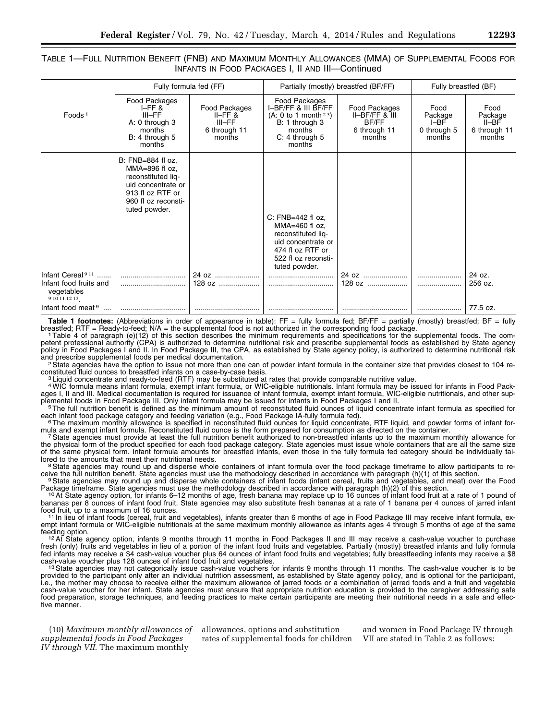#### TABLE 1—FULL NUTRITION BENEFIT (FNB) AND MAXIMUM MONTHLY ALLOWANCES (MMA) OF SUPPLEMENTAL FOODS FOR INFANTS IN FOOD PACKAGES I, II AND III—Continued

|                                                                                       |                                                                                                                                             | Fully formula fed (FF)                                           |                                                                                                                                                   | Partially (mostly) breastfed (BF/FF)                                         | Fully breastfed (BF)                               |                                                    |
|---------------------------------------------------------------------------------------|---------------------------------------------------------------------------------------------------------------------------------------------|------------------------------------------------------------------|---------------------------------------------------------------------------------------------------------------------------------------------------|------------------------------------------------------------------------------|----------------------------------------------------|----------------------------------------------------|
| Foods <sup>1</sup>                                                                    | Food Packages<br>$I$ –FF $8$<br>$III - FF$<br>A: 0 through 3<br>months<br>B: 4 through 5<br>months                                          | Food Packages<br>$II-FF$ &<br>$III-FF$<br>6 through 11<br>months | Food Packages<br>I-BF/FF & III BF/FF<br>(A: 0 to 1 month <sup>23</sup> )<br>B: 1 through 3<br>months<br>$C: 4$ through $5$<br>months              | Food Packages<br>$II-BF/FF$ & $II$<br><b>BF/FF</b><br>6 through 11<br>months | Food<br>Package<br>$I-BF$<br>0 through 5<br>months | Food<br>Package<br>II-BF<br>6 through 11<br>months |
|                                                                                       | B: FNB=884 fl oz,<br>MMA=896 fl oz,<br>reconstituted liq-<br>uid concentrate or<br>913 fl oz RTF or<br>960 fl oz reconsti-<br>tuted powder. |                                                                  | C: $FNB = 442$ fl oz,<br>$MMA=460$ fl oz,<br>reconstituted liq-<br>uid concentrate or<br>474 fl oz RTF or<br>522 fl oz reconsti-<br>tuted powder. |                                                                              |                                                    |                                                    |
| Infant Cereal <sup>911</sup><br>Infant food fruits and<br>vegetables<br>9 10 11 12 13 |                                                                                                                                             | 24 oz<br>$128.0z$                                                |                                                                                                                                                   | 24 oz                                                                        |                                                    | 24 oz.<br>256 oz.                                  |
| Infant food meat 9                                                                    |                                                                                                                                             |                                                                  |                                                                                                                                                   |                                                                              |                                                    | 77.5 oz.                                           |

Table 1 footnotes: (Abbreviations in order of appearance in table): FF = fully formula fed; BF/FF = partially (mostly) breastfed; BF = fully breastfed; BF = fully breastfed; RTF = Ready-to-feed; N/A = the supplemental food

1Table 4 of paragraph (e)(12) of this section describes the minimum requirements and specifications for the supplemental foods. The competent professional authority (CPA) is authorized to determine nutritional risk and prescribe supplemental foods as established by State agency policy in Food Packages I and II. In Food Package III, the CPA, as established by State agency policy, is authorized to determine nutritional risk

and prescribe supplemental foods per medical documentation.<br><sup>2</sup> State agencies have the option to issue not more than one can of powder infant formula in the container size that provides closest to 104 re-<br>constituted flui

 $3$  Liquid concentrate and ready-to-feed (RTF) may be substituted at rates that provide comparable nutritive value.

4WIC formula means infant formula, exempt infant formula, or WIC-eligible nutritionals. Infant formula may be issued for infants in Food Packages I, II and III. Medical documentation is required for issuance of infant formula, exempt infant formula, WIC-eligible nutritionals, and other supplemental foods in Food Package III. Only infant formula may be issued for infants in Food Packages I and II.<br><sup>5</sup> The full nutrition benefit is defined as the minimum amount of reconstituted fluid ounces of liquid concentr

each infant food package category and feeding variation (e.g., Food Package IA-fully formula fed).<br>Fhe maximum monthly allowance is specified in reconstituted fluid ounces for liquid concentrate, RTF liquid, and powder for

mula and exempt infant formula. Reconstituted fluid ounce is the form prepared for consumption as directed on the container.<br>7 State agencies must provide at least the full nutrition benefit authorized to non-breastfed inf

the physical form of the product specified for each food package category. State agencies must issue whole containers that are all the same size of the same physical form. Infant formula amounts for breastfed infants, even those in the fully formula fed category should be individually tai-<br>lored to the amounts that meet their nutritional needs.

<sup>8</sup> State agencies may round up and disperse whole containers of infant formula over the food package timeframe to allow participants to re-

ceive the full nutrition benefit. State agencies must use the methodology described in accordance with paragraph (h)(1) of this section.<br><sup>9</sup> State agencies may round up and disperse whole containers of infant foods (infant

<sup>10</sup> At State agency option, for infants 6–12 months of age, fresh banana may replace up to 16 ounces of infant food fruit at a rate of 1 pound of bananas per 8 ounces of infant food fruit. State agencies may also substitute fresh bananas at a rate of 1 banana per 4 ounces of jarred infant<br>food fruit, up to a maximum of 16 ounces.

<sup>11</sup> In lieu of infant foods (cereal, fruit and vegetables), infants greater than 6 months of age in Food Package III may receive infant formula, exempt infant formula or WIC-eligible nutritionals at the same maximum monthly allowance as infants ages 4 through 5 months of age of the same

feeding option.<br><sup>12</sup>At State agency option, infants 9 months through 11 months in Food Packages II and III may receive a cash-value voucher to purchase fresh (only) fruits and vegetables in lieu of a portion of the infant food fruits and vegetables. Partially (mostly) breastfed infants and fully formula fed infants may receive a \$4 cash-value voucher plus 64 ounces of infant food fruits and vegetables; fully breastfeeding infants may receive a \$8<br>cash-value voucher plus 128 ounces of infant food fruit and vegetables.

 $13$  State agencies may not categorically issue cash-value vouchers for infants 9 months through 11 months. The cash-value voucher is to be provided to the participant only after an individual nutrition assessment, as established by State agency policy, and is optional for the participant, i.e., the mother may choose to receive either the maximum allowance of jarred foods or a combination of jarred foods and a fruit and vegetable cash-value voucher for her infant. State agencies must ensure that appropriate nutrition education is provided to the caregiver addressing safe food preparation, storage techniques, and feeding practices to make certain participants are meeting their nutritional needs in a safe and effective manner.

(10) *Maximum monthly allowances of supplemental foods in Food Packages IV through VII.* The maximum monthly

allowances, options and substitution rates of supplemental foods for children

and women in Food Package IV through VII are stated in Table 2 as follows: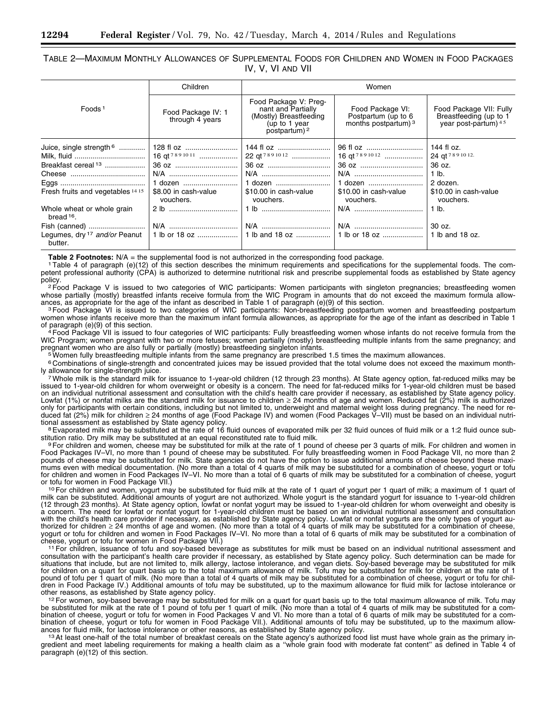TABLE 2—MAXIMUM MONTHLY ALLOWANCES OF SUPPLEMENTAL FOODS FOR CHILDREN AND WOMEN IN FOOD PACKAGES IV, V, VI AND VII

|                                                     | Children                              |                                                                                                            | Women                                                           |                                                                           |
|-----------------------------------------------------|---------------------------------------|------------------------------------------------------------------------------------------------------------|-----------------------------------------------------------------|---------------------------------------------------------------------------|
| Foods <sup>1</sup>                                  | Food Package IV: 1<br>through 4 years | Food Package V: Preg-<br>nant and Partially<br>(Mostly) Breastfeeding<br>(up to 1 year)<br>postpartum) $2$ | Food Package VI:<br>Postpartum (up to 6<br>months postpartum) 3 | Food Package VII: Fully<br>Breastfeeding (up to 1<br>year post-partum) 45 |
| Juice, single strength <sup>6</sup>                 | 128 fl oz                             | 144 fl oz                                                                                                  | 96 fl oz                                                        | 144 fl $oz$ .                                                             |
|                                                     | 16 qt <sup>7891011</sup>              | 22 qt <sup>7891012</sup>                                                                                   | 16 qt <sup>7891012</sup>                                        | 24 gt 789 10 12.                                                          |
| Breakfast cereal <sup>13</sup>                      | 36 oz                                 | 36 oz                                                                                                      |                                                                 | 36 oz.                                                                    |
|                                                     |                                       |                                                                                                            |                                                                 |                                                                           |
|                                                     | N/A                                   | N/A                                                                                                        | N/A                                                             | $1$ lb.                                                                   |
|                                                     | 1 dozen                               | 1 dozen                                                                                                    | 1 dozen                                                         | 2 dozen.                                                                  |
| Fresh fruits and vegetables 14 15                   | \$8.00 in cash-value<br>vouchers.     | \$10.00 in cash-value<br>vouchers.                                                                         | \$10.00 in cash-value<br>vouchers.                              | \$10.00 in cash-value<br>vouchers.                                        |
| Whole wheat or whole grain<br>bread 16.             |                                       | 1 lb                                                                                                       |                                                                 | 1 lb.                                                                     |
|                                                     | N/A                                   | N/A                                                                                                        | N/A                                                             | $30 oz$ .                                                                 |
| Legumes, dry <sup>17</sup> and/or Peanut<br>butter. |                                       |                                                                                                            |                                                                 |                                                                           |

Table 2 Footnotes: N/A = the supplemental food is not authorized in the corresponding food package.<br><sup>1</sup> Table 4 of paragraph (e)(12) of this section describes the minimum requirements and specifications for the supplementa petent professional authority (CPA) is authorized to determine nutritional risk and prescribe supplemental foods as established by State agency policy.<br><sup>2</sup>Food Package V is issued to two categories of WIC participants: Women participants with singleton pregnancies; breastfeeding women

whose partially (mostly) breastfed infants receive formula from the WIC Program in amounts that do not exceed the maximum formula allow-<br>ances, as appropriate for the age of the infant as described in Table 1 of paragraph

<sup>3</sup> Food Package VI is issued to two categories of WIC participants: Non-breastfeeding postpartum women and breastfeeding postpartum women whose infants receive more than the maximum infant formula allowances, as appropriate for the age of the infant as described in Table 1<br>of paragraph (e)(9) of this section.

<sup>4</sup> Food Package VII is issued to four categories of WIC participants: Fully breastfeeding women whose infants do not receive formula from the WIC Program; women pregnant with two or more fetuses; women partially (mostly) breastfeeding multiple infants from the same pregnancy; and pregnant women who are also fully or partially (mostly) breastfeeding singleton inf

 $5$  Women fully breastfeeding multiple infants from the same pregnancy are prescribed 1.5 times the maximum allowances.

6 Combinations of single-strength and concentrated juices may be issued provided that the total volume does not exceed the maximum month-

7 Whole milk is the standard milk for issuance to 1-year-old children (12 through 23 months). At State agency option, fat-reduced milks may be issued to 1-year-old children for whom overweight or obesity is a concern. The need for fat-reduced milks for 1-year-old children must be based on an individual nutritional assessment and consultation with the child's health care provider if necessary, as established by State agency policy. Lowfat (1%) or nonfat milks are the standard milk for issuance to children ≥ 24 months of age and women. Reduced fat (2%) milk is authorized only for participants with certain conditions, including but not limited to, underweight and maternal weight loss during pregnancy. The need for reduced fat (2%) milk for children ≥ 24 months of age (Food Package IV) and women (Food Packages V–VII) must be based on an individual nutri-

tional assessment as established by State agency policy.<br><sup>8</sup>Evaporated milk may be substituted at the rate of 16 fluid ounces of evaporated milk per 32 fluid ounces of fluid milk or a 1:2 fluid ounce substitution ratio. Dr

9 For children and women, cheese may be substituted for milk at the rate of 1 pound of cheese per 3 quarts of milk. For children and women in Food Packages IV–VI, no more than 1 pound of cheese may be substituted. For fully breastfeeding women in Food Package VII, no more than 2 pounds of cheese may be substituted for milk. State agencies do not have the option to issue additional amounts of cheese beyond these maximums even with medical documentation. (No more than a total of 4 quarts of milk may be substituted for a combination of cheese, yogurt or tofu for children and women in Food Packages IV–VI. No more than a total of 6 quarts of milk may be substituted for a combination of cheese, yogurt<br>or tofu for women in Food Package VII.)

<sup>10</sup> For children and women, yogurt may be substituted for fluid milk at the rate of 1 quart of yogurt per 1 quart of milk; a maximum of 1 quart of milk can be substituted. Additional amounts of yogurt are not authorized. Whole yogurt is the standard yogurt for issuance to 1-year-old children (12 through 23 months). At State agency option, lowfat or nonfat yogurt may be issued to 1-year-old children for whom overweight and obesity is a concern. The need for lowfat or nonfat yogurt for 1-year-old children must be based on an individual nutritional assessment and consultation with the child's health care provider if necessary, as established by State agency policy. Lowfat or nonfat yogurts are the only types of yogurt authorized for children ≥ 24 months of age and women. (No more than a total of 4 quarts of milk may be substituted for a combination of cheese,<br>yogurt or tofu for children and women in Food Packages IV–VI. No more than a to cheese, yogurt or tofu for women in Food Package VII.)<br>11 For children, issuance of tofu and soy-based beverage as substitutes for milk must be based on an individual nutritional assessment and

consultation with the participant's health care provider if necessary, as established by State agency policy. Such determination can be made for situations that include, but are not limited to, milk allergy, lactose intolerance, and vegan diets. Soy-based beverage may be substituted for milk for children on a quart for quart basis up to the total maximum allowance of milk. Tofu may be substituted for milk for children at the rate of 1 pound of tofu per 1 quart of milk. (No more than a total of 4 quarts of milk may be substituted for a combination of cheese, yogurt or tofu for children in Food Package IV.) Additional amounts of tofu may be substituted, up to the maximum allowance for fluid milk for lactose intolerance or<br>other reasons, as established by State agency policy.

other reasons, as established by State agency policy.<br><sup>12</sup>For women, soy-based beverage may be substituted for milk on a quart for quart basis up to the total maximum allowance of milk. Tofu may be substituted for milk at the rate of 1 pound of tofu per 1 quart of milk. (No more than a total of 4 quarts of milk may be substituted for a combination of cheese, yogurt or tofu for women in Food Packages V and VI. No more than a total of 6 quarts of milk may be substituted for a combination of cheese, yogurt or tofu for women in Food Package VII.). Additional amounts of tofu may be substituted, up to the maximum allowances for fluid milk, for lactose intolerance or other reasons, as established by State agency policy.<br><sup>13</sup>At least one-half of the total number of breakfast cereals on the State agency's authorized food list must have who

gredient and meet labeling requirements for making a health claim as a "whole grain food with moderate fat content" as defined in Table 4 of paragraph (e)(12) of this section.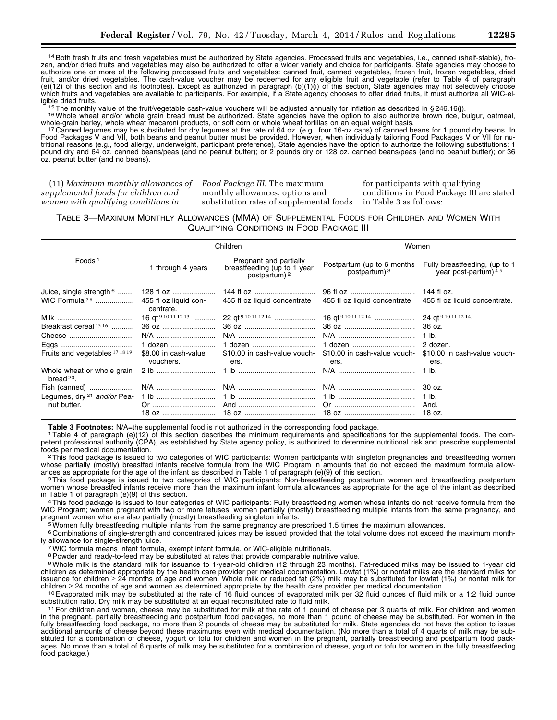14Both fresh fruits and fresh vegetables must be authorized by State agencies. Processed fruits and vegetables, i.e., canned (shelf-stable), frozen, and/or dried fruits and vegetables may also be authorized to offer a wider variety and choice for participants. State agencies may choose to authorize one or more of the following processed fruits and vegetables: canned fruit, canned vegetables, frozen fruit, frozen vegetables, dried fruit, and/or dried vegetables. The cash-value voucher may be redeemed for any eligible fruit and vegetable (refer to Table 4 of paragraph (e)(12) of this section and its footnotes). Except as authorized in paragraph (b)(1)(i) of this section, State agencies may not selectively choose which fruits and vegetables are available to participants. For example, if a State agency chooses to offer dried fruits, it must authorize all WIC-el-

igible dried fruits.<br><sup>15</sup>The monthly value of the fruit/vegetable cash-value vouchers will be adjusted annually for inflation as described in §246.16(j).<br><sup>16</sup>Whole wheat and/or whole grain bread must be authorized. State a

whole-grain barley, whole wheat macaroni products, or soft corn or whole wheat tortillas on an equal weight basis.<br><sup>17</sup> Canned legumes may be substituted for dry legumes at the rate of 64 oz. (e.g., four 16-oz cans) of can Food Packages V and VII, both beans and peanut butter must be provided. However, when individually tailoring Food Packages V or VII for nutritional reasons (e.g., food allergy, underweight, participant preference), State agencies have the option to authorize the following substitutions: 1 pound dry and 64 oz. canned beans/peas (and no peanut butter); or 2 pounds dry or 128 oz. canned beans/peas (and no peanut butter); or 36 oz. peanut butter (and no beans).

(11) *Maximum monthly allowances of supplemental foods for children and women with qualifying conditions in* 

*Food Package III.* The maximum monthly allowances, options and substitution rates of supplemental foods

for participants with qualifying conditions in Food Package III are stated in Table 3 as follows:

#### TABLE 3—MAXIMUM MONTHLY ALLOWANCES (MMA) OF SUPPLEMENTAL FOODS FOR CHILDREN AND WOMEN WITH QUALIFYING CONDITIONS IN FOOD PACKAGE III

|                                            |                                                                                 | Children                                                                          | Women                                        |                                                         |
|--------------------------------------------|---------------------------------------------------------------------------------|-----------------------------------------------------------------------------------|----------------------------------------------|---------------------------------------------------------|
| Foods <sup>1</sup>                         | 1 through 4 years                                                               | Pregnant and partially<br>breastfeeding (up to 1 year<br>postpartum) <sup>2</sup> | Postpartum (up to 6 months)<br>postpartum) 3 | Fully breastfeeding, (up to 1<br>year post-partum) $45$ |
| Juice, single strength $6$                 | 128 fl oz                                                                       |                                                                                   | 96 fl oz                                     | 144 fl oz.                                              |
| WIC Formula $78$                           | 455 fl oz liguid con-<br>centrate.                                              | 455 fl oz liquid concentrate                                                      | 455 fl oz liquid concentrate                 | 455 fl oz liquid concentrate.                           |
|                                            | 16 qt <sup>9</sup> <sup>10</sup> <sup>11</sup> <sup>12</sup> <sup>13</sup> ………… | 22 gt <sup>9 10 11 12 14</sup>                                                    | 16 qt <sup>9 10 11 12 14</sup>               | 24 gt 9 10 11 12 14.                                    |
| Breakfast cereal <sup>1516</sup>           | 36 oz                                                                           |                                                                                   |                                              | 36 oz.                                                  |
| Cheese                                     | N/A                                                                             |                                                                                   |                                              | $1$ lb.                                                 |
|                                            | 1 dozen                                                                         | 1 dozen                                                                           | 1 dozen                                      | 2 dozen.                                                |
| Fruits and vegetables 17 18 19             | \$8.00 in cash-value<br>vouchers.                                               | \$10.00 in cash-value vouch-<br>ers.                                              | \$10.00 in cash-value vouch-<br>ers.         | \$10.00 in cash-value vouch-<br>ers.                    |
| Whole wheat or whole grain<br>bread $20$ . | 2 b                                                                             |                                                                                   |                                              | $1$ lb.                                                 |
| Fish (canned)                              | N/A                                                                             |                                                                                   |                                              | $30 oz$ .                                               |
| Legumes, dry <sup>21</sup> and/or Pea-     | 1 lb                                                                            |                                                                                   |                                              | $1$ lb.                                                 |
| nut butter.                                |                                                                                 |                                                                                   |                                              | And.                                                    |
|                                            |                                                                                 |                                                                                   |                                              | 18 oz.                                                  |

Table 3 Footnotes: N/A=the supplemental food is not authorized in the corresponding food package.<br><sup>1</sup> Table 4 of paragraph (e)(12) of this section describes the minimum requirements and specifications for the supplemental petent professional authority (CPA), as established by State agency policy, is authorized to determine nutritional risk and prescribe supplemental<br>foods per medical documentation.

<sup>2</sup>This food package is issued to two categories of WIC participants: Women participants with singleton pregnancies and breastfeeding women whose partially (mostly) breastfed infants receive formula from the WIC Program in amounts that do not exceed the maximum formula allow-<br>ances as appropriate for the age of the infant as described in Table 1 of paragraph (

<sup>3</sup>This food package is issued to two categories of WIC participants: Non-breastfeeding postpartum women and breastfeeding postpartum women whose breastfed infants receive more than the maximum infant formula allowances as appropriate for the age of the infant as described<br>in Table 1 of paragraph (e)(9) of this section.

<sup>4</sup> This food package is issued to four categories of WIC participants: Fully breastfeeding women whose infants do not receive formula from the WIC Program; women pregnant with two or more fetuses; women partially (mostly) breastfeeding multiple infants from the same pregnancy, and<br>pregnant women who are also partially (mostly) breastfeeding singleton infants.

 $5$  Women fully breastfeeding multiple infants from the same pregnancy are prescribed 1.5 times the maximum allowances.

6 Combinations of single-strength and concentrated juices may be issued provided that the total volume does not exceed the maximum month-

<sup>7</sup> WIC formula means infant formula, exempt infant formula, or WIC-eligible nutritionals.

<sup>8</sup> Powder and ready-to-feed may be substituted at rates that provide comparable nutritive value.

9Whole milk is the standard milk for issuance to 1-year-old children (12 through 23 months). Fat-reduced milks may be issued to 1-year old children as determined appropriate by the health care provider per medical documentation. Lowfat (1%) or nonfat milks are the standard milks for issuance for children ≥ 24 months of age and women. Whole milk or reduced fat (2%) milk may be substituted for lowfat (1%) or nonfat milk for

children ≥ 24 months of age and women as determined appropriate by the health care provider per medical documentation.<br><sup>10</sup> Evaporated milk may be substituted at the rate of 16 fluid ounces of evaporated milk per 32 fluid

<sup>11</sup> For children and women, cheese may be substituted for milk at the rate of 1 pound of cheese per 3 quarts of milk. For children and women in the pregnant, partially breastfeeding and postpartum food packages, no more than 1 pound of cheese may be substituted. For women in the fully breastfeeding food package, no more than 2 pounds of cheese may be substituted for milk. State agencies do not have the option to issue additional amounts of cheese beyond these maximums even with medical documentation. (No more than a total of 4 quarts of milk may be substituted for a combination of cheese, yogurt or tofu for children and women in the pregnant, partially breastfeeding and postpartum food packages. No more than a total of 6 quarts of milk may be substituted for a combination of cheese, yogurt or tofu for women in the fully breastfeeding food package.)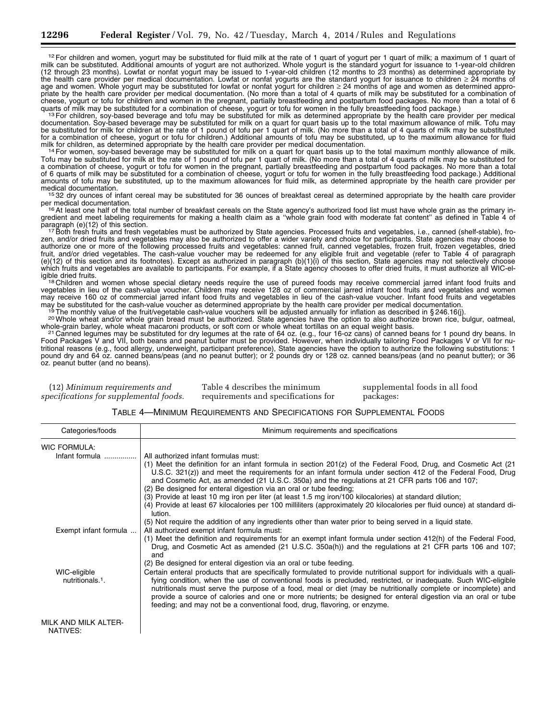$12$  For children and women, yogurt may be substituted for fluid milk at the rate of 1 quart of yogurt per 1 quart of milk; a maximum of 1 quart of milk can be substituted. Additional amounts of yogurt are not authorized. Whole yogurt is the standard yogurt for issuance to 1-year-old children (12 through 23 months). Lowfat or nonfat yogurt may be issued to 1-year-old children (12 months to 23 months) as determined appropriate by the health care provider per medical documentation. Lowfat or nonfat yogurts are the standard yogurt for issuance to children ≥ 24 months of age and women. Whole yogurt may be substituted for lowfat or nonfat yogurt for children ≥ 24 months of age and women as determined appro-<br>priate by the health care provider per medical documentation. (No more than a total cheese, yogurt or tofu for children and women in the pregnant, partially breastfeeding and postpartum food packages. No more than a total of 6

quarts of milk may be substituted for a combination of cheese, yogurt or tofu for women in the fully breastfeeding food package.)<br><sup>13</sup> For children, soy-based beverage and tofu may be substituted for milk as determined app documentation. Soy-based beverage may be substituted for milk on a quart for quart basis up to the total maximum allowance of milk. Tofu may be substituted for milk for children at the rate of 1 pound of tofu per 1 quart of milk. (No more than a total of 4 quarts of milk may be substituted for a combination of cheese, yogurt or tofu for children.) Additional amounts of tofu may be substituted, up to the maximum allowance for fluid

milk for children, as determined appropriate by the health care provider per medical documentation.<br><sup>14</sup> For women, soy-based beverage may be substituted for milk on a quart for quart basis up to the total maximum monthly Tofu may be substituted for milk at the rate of 1 pound of tofu per 1 quart of milk. (No more than a total of 4 quarts of milk may be substituted for a combination of cheese, yogurt or tofu for women in the pregnant, partially breastfeeding and postpartum food packages. No more than a total of 6 quarts of milk may be substituted for a combination of cheese, yogurt or tofu for women in the fully breastfeeding food package.) Additional amounts of tofu may be substituted, up to the maximum allowances for fluid milk, as determined appropriate by the health care provider per

medical documentation.<br>15 32 dry ounces of infant cereal may be substituted for 36 ounces of breakfast cereal as determined appropriate by the health care provider<br>per medical documentation.

16 At least one half of the total number of breakfast cereals on the State agency's authorized food list must have whole grain as the primary ingredient and meet labeling requirements for making a health claim as a "whole grain food with moderate fat content" as defined in Table 4 of<br>paragraph (e)(12) of this section.

<sup>17</sup> Both fresh fruits and fresh vegetables must be authorized by State agencies. Processed fruits and vegetables, i.e., canned (shelf-stable), frozen, and/or dried fruits and vegetables may also be authorized to offer a wider variety and choice for participants. State agencies may choose to authorize one or more of the following processed fruits and vegetables: canned fruit, canned vegetables, frozen fruit, frozen vegetables, dried fruit, and/or dried vegetables. The cash-value voucher may be redeemed for any eligible fruit and vegetable (refer to Table 4 of paragraph (e)(12) of this section and its footnotes). Except as authorized in paragraph (b)(1)(i) of this section, State agencies may not selectively choose which fruits and vegetables are available to participants. For example, if a State agency chooses to offer dried fruits, it must authorize all WIC-el-<br>igible dried fruits.

igible dried fruits.<br>18 Children and women whose special dietary needs require the use of pureed foods may receive commercial jarred infant food fruits and vegetables in lieu of the cash-value voucher. Children may receive 128 oz of commercial jarred infant food fruits and vegetables and women may receive 160 oz of commercial jarred infant food fruits and vegetables in lieu of the cash-value voucher. Infant food fruits and vegetables may be substituted for the cash-value voucher as determined appropriate by the health care provider per medical documentation.<br><sup>19</sup> The monthly value of the fruit/vegetable cash-value vouchers will be adjusted annually for

whole-grain barley, whole wheat macaroni products, or soft com or whole wheat tortillas on an equal weight basis.<br><sup>21</sup> Canned legumes may be substituted for dry legumes at the rate of 64 oz. (e.g., four 16-oz cans) of cann

Food Packages V and VII, both beans and peanut butter must be provided. However, when individually tailoring Food Packages V or VII for nutritional reasons (e.g., food allergy, underweight, participant preference), State agencies have the option to authorize the following substitutions: 1 pound dry and 64 oz. canned beans/peas (and no peanut butter); or 2 pounds dry or 128 oz. canned beans/peas (and no peanut butter); or 36 oz. peanut butter (and no beans).

| (12) Minimum requirements and                                              | Table 4 describes the minimum | supplemental foods in all food |
|----------------------------------------------------------------------------|-------------------------------|--------------------------------|
| specifications for supplemental foods. requirements and specifications for |                               | packages:                      |

| TABLE 4-MINIMUM REQUIREMENTS AND SPECIFICATIONS FOR SUPPLEMENTAL FOODS |  |  |
|------------------------------------------------------------------------|--|--|
|------------------------------------------------------------------------|--|--|

| Categories/foods                             | Minimum requirements and specifications                                                                                                                                                                                                                                                                                                                                                                                                                                                                                                                                                                                                                                                            |
|----------------------------------------------|----------------------------------------------------------------------------------------------------------------------------------------------------------------------------------------------------------------------------------------------------------------------------------------------------------------------------------------------------------------------------------------------------------------------------------------------------------------------------------------------------------------------------------------------------------------------------------------------------------------------------------------------------------------------------------------------------|
| <b>WIC FORMULA:</b>                          |                                                                                                                                                                                                                                                                                                                                                                                                                                                                                                                                                                                                                                                                                                    |
| Infant formula                               | All authorized infant formulas must:<br>(1) Meet the definition for an infant formula in section $201(z)$ of the Federal Food, Drug, and Cosmetic Act (21)<br>U.S.C. 321(z)) and meet the requirements for an infant formula under section 412 of the Federal Food, Drug<br>and Cosmetic Act, as amended (21 U.S.C. 350a) and the regulations at 21 CFR parts 106 and 107;<br>(2) Be designed for enteral digestion via an oral or tube feeding;<br>(3) Provide at least 10 mg iron per liter (at least 1.5 mg iron/100 kilocalories) at standard dilution;<br>(4) Provide at least 67 kilocalories per 100 milliliters (approximately 20 kilocalories per fluid ounce) at standard di-<br>lution. |
| Exempt infant formula                        | (5) Not require the addition of any ingredients other than water prior to being served in a liquid state.<br>All authorized exempt infant formula must:<br>(1) Meet the definition and requirements for an exempt infant formula under section 412(h) of the Federal Food,<br>Drug, and Cosmetic Act as amended (21 U.S.C. 350a(h)) and the regulations at 21 CFR parts 106 and 107;<br>and<br>(2) Be designed for enteral digestion via an oral or tube feeding.                                                                                                                                                                                                                                  |
| WIC-eligible<br>nutritionals. <sup>1</sup> . | Certain enteral products that are specifically formulated to provide nutritional support for individuals with a quali-<br>fying condition, when the use of conventional foods is precluded, restricted, or inadequate. Such WIC-eligible<br>nutritionals must serve the purpose of a food, meal or diet (may be nutritionally complete or incomplete) and<br>provide a source of calories and one or more nutrients; be designed for enteral digestion via an oral or tube<br>feeding; and may not be a conventional food, drug, flavoring, or enzyme.                                                                                                                                             |
| MILK AND MILK ALTER-<br>NATIVES:             |                                                                                                                                                                                                                                                                                                                                                                                                                                                                                                                                                                                                                                                                                                    |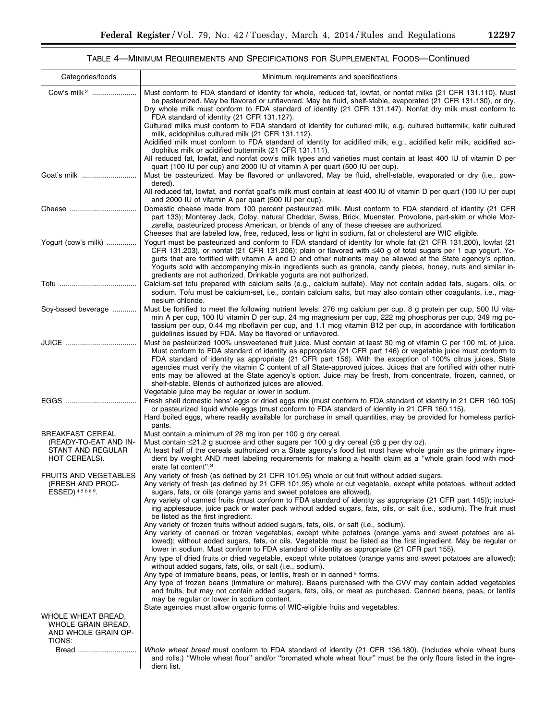۰

### TABLE 4—MINIMUM REQUIREMENTS AND SPECIFICATIONS FOR SUPPLEMENTAL FOODS—Continued

| Categories/foods                                                                       | Minimum requirements and specifications                                                                                                                                                                                                                                                                                                                                                                                                                                                                                                                                                                                                                                                             |
|----------------------------------------------------------------------------------------|-----------------------------------------------------------------------------------------------------------------------------------------------------------------------------------------------------------------------------------------------------------------------------------------------------------------------------------------------------------------------------------------------------------------------------------------------------------------------------------------------------------------------------------------------------------------------------------------------------------------------------------------------------------------------------------------------------|
| Cow's milk <sup>2</sup>                                                                | Must conform to FDA standard of identity for whole, reduced fat, lowfat, or nonfat milks (21 CFR 131.110). Must<br>be pasteurized. May be flavored or unflavored. May be fluid, shelf-stable, evaporated (21 CFR 131.130), or dry.<br>Dry whole milk must conform to FDA standard of identity (21 CFR 131.147). Nonfat dry milk must conform to<br>FDA standard of identity (21 CFR 131.127).                                                                                                                                                                                                                                                                                                       |
|                                                                                        | Cultured milks must conform to FDA standard of identity for cultured milk, e.g. cultured buttermilk, kefir cultured<br>milk, acidophilus cultured milk (21 CFR 131.112).<br>Acidified milk must conform to FDA standard of identity for acidified milk, e.g., acidified kefir milk, acidified aci-<br>dophilus milk or acidified buttermilk (21 CFR 131.111).                                                                                                                                                                                                                                                                                                                                       |
|                                                                                        | All reduced fat, lowfat, and nonfat cow's milk types and varieties must contain at least 400 IU of vitamin D per<br>quart (100 IU per cup) and 2000 IU of vitamin A per quart (500 IU per cup).                                                                                                                                                                                                                                                                                                                                                                                                                                                                                                     |
|                                                                                        | Must be pasteurized. May be flavored or unflavored. May be fluid, shelf-stable, evaporated or dry (i.e., pow-<br>dered).<br>All reduced fat, lowfat, and nonfat goat's milk must contain at least 400 IU of vitamin D per quart (100 IU per cup)                                                                                                                                                                                                                                                                                                                                                                                                                                                    |
|                                                                                        | and 2000 IU of vitamin A per quart (500 IU per cup).<br>Domestic cheese made from 100 percent pasteurized milk. Must conform to FDA standard of identity (21 CFR<br>part 133); Monterey Jack, Colby, natural Cheddar, Swiss, Brick, Muenster, Provolone, part-skim or whole Moz-<br>zarella, pasteurized process American, or blends of any of these cheeses are authorized.                                                                                                                                                                                                                                                                                                                        |
| Yogurt (cow's milk)                                                                    | Cheeses that are labeled low, free, reduced, less or light in sodium, fat or cholesterol are WIC eligible.<br>Yogurt must be pasteurized and conform to FDA standard of identity for whole fat (21 CFR 131.200), lowfat (21<br>CFR 131.203), or nonfat (21 CFR 131.206); plain or flavored with <40 g of total sugars per 1 cup yogurt. Yo-<br>gurts that are fortified with vitamin A and D and other nutrients may be allowed at the State agency's option.<br>Yogurts sold with accompanying mix-in ingredients such as granola, candy pieces, honey, nuts and similar in-<br>gredients are not authorized. Drinkable yogurts are not authorized.                                                |
|                                                                                        | Calcium-set tofu prepared with calcium salts (e.g., calcium sulfate). May not contain added fats, sugars, oils, or<br>sodium. Tofu must be calcium-set, i.e., contain calcium salts, but may also contain other coagulants, i.e., mag-<br>nesium chloride.                                                                                                                                                                                                                                                                                                                                                                                                                                          |
| Soy-based beverage                                                                     | Must be fortified to meet the following nutrient levels: 276 mg calcium per cup, 8 g protein per cup, 500 IU vita-<br>min A per cup, 100 IU vitamin D per cup, 24 mg magnesium per cup, 222 mg phosphorus per cup, 349 mg po-<br>tassium per cup, 0.44 mg riboflavin per cup, and 1.1 mcg vitamin B12 per cup, in accordance with fortification<br>guidelines issued by FDA. May be flavored or unflavored.                                                                                                                                                                                                                                                                                         |
| JUICE                                                                                  | Must be pasteurized 100% unsweetened fruit juice. Must contain at least 30 mg of vitamin C per 100 mL of juice.<br>Must conform to FDA standard of identity as appropriate (21 CFR part 146) or vegetable juice must conform to<br>FDA standard of identity as appropriate (21 CFR part 156). With the exception of 100% citrus juices, State<br>agencies must verify the vitamin C content of all State-approved juices. Juices that are fortified with other nutri-<br>ents may be allowed at the State agency's option. Juice may be fresh, from concentrate, frozen, canned, or<br>shelf-stable. Blends of authorized juices are allowed.<br>Vegetable juice may be regular or lower in sodium. |
|                                                                                        | Fresh shell domestic hens' eggs or dried eggs mix (must conform to FDA standard of identity in 21 CFR 160.105)<br>or pasteurized liquid whole eggs (must conform to FDA standard of identity in 21 CFR 160.115).<br>Hard boiled eggs, where readily available for purchase in small quantities, may be provided for homeless partici-<br>pants.                                                                                                                                                                                                                                                                                                                                                     |
| <b>BREAKFAST CEREAL</b><br>(READY-TO-EAT AND IN-<br>STANT AND REGULAR<br>HOT CEREALS). | Must contain a minimum of 28 mg iron per 100 g dry cereal.<br>Must contain $\leq$ 21.2 g sucrose and other sugars per 100 g dry cereal ( $\leq$ 6 g per dry oz).<br>At least half of the cereals authorized on a State agency's food list must have whole grain as the primary ingre-<br>dient by weight AND meet labeling requirements for making a health claim as a "whole grain food with mod-<br>erate fat content". <sup>3</sup>                                                                                                                                                                                                                                                              |
| FRUITS AND VEGETABLES<br>(FRESH AND PROC-<br>ESSED) 45689.                             | Any variety of fresh (as defined by 21 CFR 101.95) whole or cut fruit without added sugars.<br>Any variety of fresh (as defined by 21 CFR 101.95) whole or cut vegetable, except white potatoes, without added<br>sugars, fats, or oils (orange yams and sweet potatoes are allowed).<br>Any variety of canned fruits (must conform to FDA standard of identity as appropriate (21 CFR part 145)); includ-<br>ing applesauce, juice pack or water pack without added sugars, fats, oils, or salt (i.e., sodium). The fruit must<br>be listed as the first ingredient.                                                                                                                               |
|                                                                                        | Any variety of frozen fruits without added sugars, fats, oils, or salt (i.e., sodium).<br>Any variety of canned or frozen vegetables, except white potatoes (orange yams and sweet potatoes are al-<br>lowed); without added sugars, fats, or oils. Vegetable must be listed as the first ingredient. May be regular or<br>lower in sodium. Must conform to FDA standard of identity as appropriate (21 CFR part 155).<br>Any type of dried fruits or dried vegetable, except white potatoes (orange yams and sweet potatoes are allowed);<br>without added sugars, fats, oils, or salt (i.e., sodium).                                                                                             |
|                                                                                        | Any type of immature beans, peas, or lentils, fresh or in canned <sup>5</sup> forms.<br>Any type of frozen beans (immature or mature). Beans purchased with the CVV may contain added vegetables<br>and fruits, but may not contain added sugars, fats, oils, or meat as purchased. Canned beans, peas, or lentils<br>may be regular or lower in sodium content.<br>State agencies must allow organic forms of WIC-eligible fruits and vegetables.                                                                                                                                                                                                                                                  |
| WHOLE WHEAT BREAD,<br>WHOLE GRAIN BREAD,<br>AND WHOLE GRAIN OP-<br>TIONS:              |                                                                                                                                                                                                                                                                                                                                                                                                                                                                                                                                                                                                                                                                                                     |
| Bread                                                                                  | Whole wheat bread must conform to FDA standard of identity (21 CFR 136.180). (Includes whole wheat buns<br>and rolls.) "Whole wheat flour" and/or "bromated whole wheat flour" must be the only flours listed in the ingre-<br>dient list.                                                                                                                                                                                                                                                                                                                                                                                                                                                          |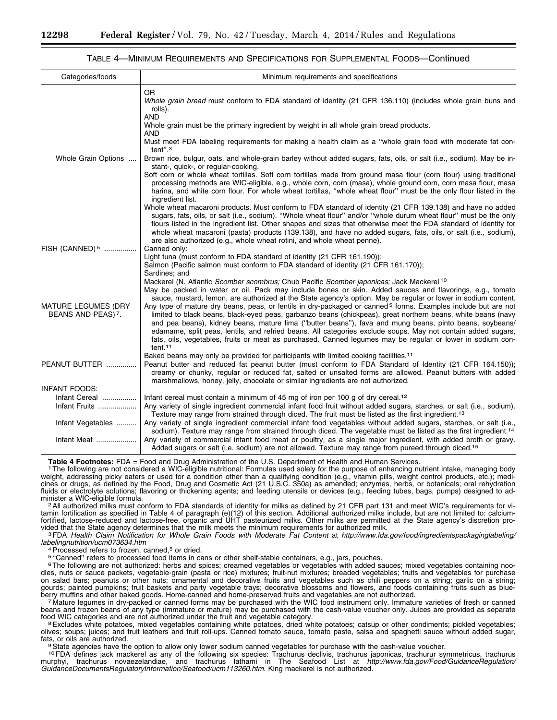#### TABLE 4—MINIMUM REQUIREMENTS AND SPECIFICATIONS FOR SUPPLEMENTAL FOODS—Continued

| Categories/foods                                             | Minimum requirements and specifications                                                                                                                                                                                                                                                                                                                                                                                                                                                                                                                                                                   |
|--------------------------------------------------------------|-----------------------------------------------------------------------------------------------------------------------------------------------------------------------------------------------------------------------------------------------------------------------------------------------------------------------------------------------------------------------------------------------------------------------------------------------------------------------------------------------------------------------------------------------------------------------------------------------------------|
| Whole Grain Options<br>FISH (CANNED) <sup>5</sup>            | <b>OR</b><br>Whole grain bread must conform to FDA standard of identity (21 CFR 136.110) (includes whole grain buns and<br>rolls).<br><b>AND</b>                                                                                                                                                                                                                                                                                                                                                                                                                                                          |
|                                                              | Whole grain must be the primary ingredient by weight in all whole grain bread products.<br><b>AND</b>                                                                                                                                                                                                                                                                                                                                                                                                                                                                                                     |
|                                                              | Must meet FDA labeling requirements for making a health claim as a "whole grain food with moderate fat con-<br>tent". <sup>3</sup>                                                                                                                                                                                                                                                                                                                                                                                                                                                                        |
|                                                              | Brown rice, bulgur, oats, and whole-grain barley without added sugars, fats, oils, or salt (i.e., sodium). May be in-<br>stant-, quick-, or regular-cooking.                                                                                                                                                                                                                                                                                                                                                                                                                                              |
|                                                              | Soft corn or whole wheat tortillas. Soft corn tortillas made from ground masa flour (corn flour) using traditional<br>processing methods are WIC-eligible, e.g., whole corn, corn (masa), whole ground corn, corn masa flour, masa<br>harina, and white corn flour. For whole wheat tortillas, "whole wheat flour" must be the only flour listed in the<br>ingredient list.                                                                                                                                                                                                                               |
|                                                              | Whole wheat macaroni products. Must conform to FDA standard of identity (21 CFR 139.138) and have no added<br>sugars, fats, oils, or salt (i.e., sodium). "Whole wheat flour" and/or "whole durum wheat flour" must be the only<br>flours listed in the ingredient list. Other shapes and sizes that otherwise meet the FDA standard of identity for<br>whole wheat macaroni (pasta) products (139.138), and have no added sugars, fats, oils, or salt (i.e., sodium),<br>are also authorized (e.g., whole wheat rotini, and whole wheat penne).                                                          |
|                                                              | Canned only:<br>Light tuna (must conform to FDA standard of identity (21 CFR 161.190));                                                                                                                                                                                                                                                                                                                                                                                                                                                                                                                   |
|                                                              | Salmon (Pacific salmon must conform to FDA standard of identity (21 CFR 161.170));<br>Sardines; and<br>Mackerel (N. Atlantic <i>Scomber scombrus</i> ; Chub Pacific <i>Scomber japonicas</i> ; Jack Mackerel <sup>10</sup><br>May be packed in water or oil. Pack may include bones or skin. Added sauces and flavorings, e.g., tomato<br>sauce, mustard, lemon, are authorized at the State agency's option. May be regular or lower in sodium content.                                                                                                                                                  |
| <b>MATURE LEGUMES (DRY</b><br>BEANS AND PEAS) <sup>7</sup> . | Any type of mature dry beans, peas, or lentils in dry-packaged or canned <sup>5</sup> forms. Examples include but are not<br>limited to black beans, black-eyed peas, garbanzo beans (chickpeas), great northern beans, white beans (navy<br>and pea beans), kidney beans, mature lima ("butter beans"), fava and mung beans, pinto beans, soybeans/<br>edamame, split peas, lentils, and refried beans. All categories exclude soups. May not contain added sugars,<br>fats, oils, vegetables, fruits or meat as purchased. Canned legumes may be regular or lower in sodium con-<br>tent. <sup>11</sup> |
| PEANUT BUTTER                                                | Baked beans may only be provided for participants with limited cooking facilities. <sup>11</sup><br>Peanut butter and reduced fat peanut butter (must conform to FDA Standard of Identity (21 CFR 164.150));<br>creamy or chunky, regular or reduced fat, salted or unsalted forms are allowed. Peanut butters with added<br>marshmallows, honey, jelly, chocolate or similar ingredients are not authorized.                                                                                                                                                                                             |
| <b>INFANT FOODS:</b>                                         |                                                                                                                                                                                                                                                                                                                                                                                                                                                                                                                                                                                                           |
| Infant Cereal                                                | Infant cereal must contain a minimum of 45 mg of iron per 100 g of dry cereal. <sup>12</sup>                                                                                                                                                                                                                                                                                                                                                                                                                                                                                                              |
| Infant Fruits                                                | Any variety of single ingredient commercial infant food fruit without added sugars, starches, or salt (i.e., sodium).<br>Texture may range from strained through diced. The fruit must be listed as the first ingredient. <sup>13</sup>                                                                                                                                                                                                                                                                                                                                                                   |
| Infant Vegetables                                            | Any variety of single ingredient commercial infant food vegetables without added sugars, starches, or salt (i.e.,<br>sodium). Texture may range from strained through diced. The vegetable must be listed as the first ingredient. <sup>14</sup>                                                                                                                                                                                                                                                                                                                                                          |
| Infant Meat                                                  | Any variety of commercial infant food meat or poultry, as a single major ingredient, with added broth or gravy.<br>Added sugars or salt (i.e. sodium) are not allowed. Texture may range from pureed through diced. <sup>15</sup>                                                                                                                                                                                                                                                                                                                                                                         |

Table 4 Footnotes: FDA = Food and Drug Administration of the U.S. Department of Health and Human Services.<br><sup>1</sup> The following are not considered a WIC-eligible nutritional: Formulas used solely for the purpose of enhancing weight, addressing picky eaters or used for a condition other than a qualifying condition (e.g., vitamin pills, weight control products, etc.); medi-<br>cines or drugs, as defined by the Food, Drug and Cosmetic Act (21 U.S.C. fluids or electrolyte solutions; flavoring or thickening agents; and feeding utensils or devices (e.g., feeding tubes, bags, pumps) designed to ad-<br>minister a WIC-eligible formula.

<sup>2</sup> All authorized milks must conform to FDA standards of identity for milks as defined by 21 CFR part 131 and meet WIC's requirements for vitamin fortification as specified in Table 4 of paragraph (e)(12) of this section. Additional authorized milks include, but are not limited to: calciumfortified, lactose-reduced and lactose-free, organic and UHT pasteurized milks. Other milks are permitted at the State agency's discretion pro-

vided that the State agency determines that the milk meets the minimum requirements for authorized milk.<br><sup>3</sup> FDA Health Claim Notification for Whole Grain Foods with Moderate Fat Content at http://www.fda.gov/food/ingredie

<sup>4</sup> Processed refers to frozen, canned,<sup>5</sup> or dried.<br><sup>5 </sup>''Canned'' refers to processed food items in cans or other shelf-stable containers, e.g., jars, pouches.

<sup>6</sup>The following are not authorized: herbs and spices; creamed vegetables or vegetables with added sauces; mixed vegetables containing noodles, nuts or sauce packets, vegetable-grain (pasta or rice) mixtures; fruit-nut mixtures; breaded vegetables; fruits and vegetables for purchase on salad bars; peanuts or other nuts; ornamental and decorative fruits and vegetables such as chili peppers on a string; garlic on a string; gourds; painted pumpkins; fruit baskets and party vegetable trays; decorative blossoms and flowers, and foods containing fruits such as blue-<br>berry muffins and other baked goods. Home-canned and home-preserved fruits and v

7 Mature legumes in dry-packed or canned forms may be purchased with the WIC food instrument only. Immature varieties of fresh or canned beans and frozen beans of any type (immature or mature) may be purchased with the cash-value voucher only. Juices are provided as separate<br>food WIC categories and are not authorized under the fruit and vegetable category. food WIC categories and are not authorized under the fruit and vegetable category.<br><sup>8</sup>Excludes white potatoes, mixed vegetables containing white potatoes, dried white potatoes; catsup or other condiments; pickled vegetable

olives; soups; juices; and fruit leathers and fruit roll-ups. Canned tomato sauce, tomato paste, salsa and spaghetti sauce without added sugar, fats, or oils are authorized.<br><sup>9</sup>State agencies have the option to allow only lower sodium canned vegetables for purchase with the cash-value voucher.

10FDA defines jack mackerel as any of the following six species: Trachurus declivis, trachurus japonicas, trachurur symmetricus, trachurus murphyi, trachurus novaezelandiae, and trachurus lathami in The Seafood List at *[http://www.fda.gov/Food/GuidanceRegulation/](http://www.fda.gov/Food/GuidanceRegulation/GuidanceDocumentsRegulatoryInformation/Seafood/ucm113260.htm) [GuidanceDocumentsRegulatoryInformation/Seafood/ucm113260.htm](http://www.fda.gov/Food/GuidanceRegulation/GuidanceDocumentsRegulatoryInformation/Seafood/ucm113260.htm)*. King mackerel is not authorized.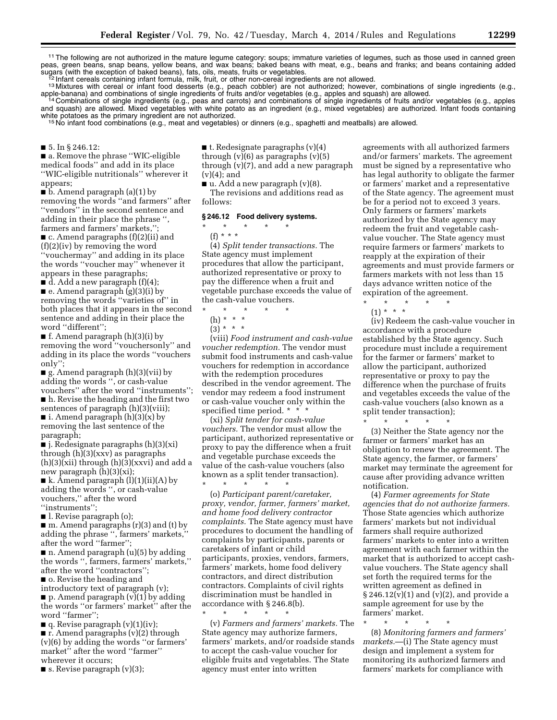11The following are not authorized in the mature legume category: soups; immature varieties of legumes, such as those used in canned green peas, green beans, snap beans, yellow beans, and wax beans; baked beans with meat, e.g., beans and franks; and beans containing added sugars (with the exception of baked beans), fats, oils, meats, fruits or vegetables.<br>12 Infant cereals containing infant formula, milk, fruit, or other non-cereal ingredients are not allowed.<br>13 Mixtures with cereal or inf

apple-banana) and combinations of single ingredients of fruits and/or vegetables (e.g., apples and squash) are allowed.<br>14 Combinations of single ingredients (e.g., peas and carrots) and combinations of single ingredients

and squash) are allowed. Mixed vegetables with white potato as an ingredient (e.g., mixed vegetables) are authorized. Infant foods containing white potatoes as the primary ingredient are not authorized.<br><sup>15</sup> No infant food combinations (e.g., meat and vegetables) or dinners (e.g., spaghetti and meatballs) are allowed.

■ 5. In § 246.12:

■ a. Remove the phrase "WIC-eligible medical foods'' and add in its place ''WIC-eligible nutritionals'' wherever it appears;

■ b. Amend paragraph (a)(1) by removing the words ''and farmers'' after ''vendors'' in the second sentence and adding in their place the phrase '', farmers and farmers' markets,'';

■ c. Amend paragraphs (f)(2)(ii) and (f)(2)(iv) by removing the word ''vouchermay'' and adding in its place the words ''voucher may'' whenever it appears in these paragraphs;

 $\blacksquare$  d. Add a new paragraph (f)(4); ■ e. Amend paragraph (g)(3)(i) by removing the words ''varieties of'' in both places that it appears in the second sentence and adding in their place the word ''different'';

■ f. Amend paragraph (h)(3)(i) by removing the word ''vouchersonly'' and adding in its place the words ''vouchers only'';

 $\blacksquare$  g. Amend paragraph (h)(3)(vii) by adding the words '', or cash-value vouchers'' after the word ''instruments''; ■ h. Revise the heading and the first two sentences of paragraph (h)(3)(viii); ■ i. Amend paragraph  $(h)(3)(x)$  by removing the last sentence of the

paragraph; ■ j. Redesignate paragraphs (h)(3)(xi) through (h)(3)(xxv) as paragraphs  $(h)(3)(xii)$  through  $(h)(3)(xxxi)$  and add a new paragraph (h)(3)(xi);

■ k. Amend paragraph (l)(1)(ii)(A) by adding the words '', or cash-value vouchers,'' after the word ''instruments'';

■ l. Revise paragraph (o);

 $\blacksquare$  m. Amend paragraphs (r)(3) and (t) by adding the phrase '', farmers' markets,'' after the word ''farmer'';

 $\blacksquare$  n. Amend paragraph (u)(5) by adding the words '', farmers, farmers' markets,'' after the word ''contractors''; ■ o. Revise the heading and

introductory text of paragraph (v);  $\blacksquare$  p. Amend paragraph (v)(1) by adding the words ''or farmers' market'' after the word ''farmer'';

 $\blacksquare$  q. Revise paragraph  $(v)(1)(iv)$ ;

 $\blacksquare$  r. Amend paragraphs (v)(2) through (v)(6) by adding the words ''or farmers' market'' after the word ''farmer'' wherever it occurs;

 $\blacksquare$  s. Revise paragraph  $(v)(3)$ ;

■ t. Redesignate paragraphs  $(v)(4)$ through  $(v)(6)$  as paragraphs  $(v)(5)$ 

through (v)(7), and add a new paragraph (v)(4); and

 $\blacksquare$  u. Add a new paragraph (v)(8). The revisions and additions read as follows:

#### **§ 246.12 Food delivery systems.**

\* \* \* \* \* (f) \* \* \*

(4) *Split tender transactions.* The State agency must implement procedures that allow the participant, authorized representative or proxy to pay the difference when a fruit and vegetable purchase exceeds the value of the cash-value vouchers.

\* \* \* \* \*

- (h) \* \* \*
- $(3) * * * *$

(viii) *Food instrument and cash-value voucher redemption.* The vendor must submit food instruments and cash-value vouchers for redemption in accordance with the redemption procedures described in the vendor agreement. The vendor may redeem a food instrument or cash-value voucher only within the specified time period. \* \* \*

(xi) *Split tender for cash-value vouchers.* The vendor must allow the participant, authorized representative or proxy to pay the difference when a fruit and vegetable purchase exceeds the value of the cash-value vouchers (also known as a split tender transaction). \* \* \* \* \*

(o) *Participant parent/caretaker, proxy, vendor, farmer, farmers' market, and home food delivery contractor complaints.* The State agency must have procedures to document the handling of complaints by participants, parents or caretakers of infant or child participants, proxies, vendors, farmers, farmers' markets, home food delivery contractors, and direct distribution contractors. Complaints of civil rights discrimination must be handled in accordance with § 246.8(b).

\* \* \* \* \* (v) *Farmers and farmers' markets.* The State agency may authorize farmers, farmers' markets, and/or roadside stands to accept the cash-value voucher for eligible fruits and vegetables. The State agency must enter into written

agreements with all authorized farmers and/or farmers' markets. The agreement must be signed by a representative who has legal authority to obligate the farmer or farmers' market and a representative of the State agency. The agreement must be for a period not to exceed 3 years. Only farmers or farmers' markets authorized by the State agency may redeem the fruit and vegetable cashvalue voucher. The State agency must require farmers or farmers' markets to reapply at the expiration of their agreements and must provide farmers or farmers markets with not less than 15 days advance written notice of the expiration of the agreement.

\* \* \* \* \*

(1) \* \* \* (iv) Redeem the cash-value voucher in accordance with a procedure established by the State agency. Such procedure must include a requirement for the farmer or farmers' market to allow the participant, authorized representative or proxy to pay the difference when the purchase of fruits and vegetables exceeds the value of the cash-value vouchers (also known as a split tender transaction);

\* \* \* \* \* (3) Neither the State agency nor the farmer or farmers' market has an obligation to renew the agreement. The State agency, the farmer, or farmers' market may terminate the agreement for cause after providing advance written notification.

(4) *Farmer agreements for State agencies that do not authorize farmers.*  Those State agencies which authorize farmers' markets but not individual farmers shall require authorized farmers' markets to enter into a written agreement with each farmer within the market that is authorized to accept cashvalue vouchers. The State agency shall set forth the required terms for the written agreement as defined in  $\S 246.12(v)(1)$  and  $(v)(2)$ , and provide a sample agreement for use by the farmers' market.

\* \* \* \* \* (8) *Monitoring farmers and farmers' markets.*—(i) The State agency must design and implement a system for monitoring its authorized farmers and farmers' markets for compliance with